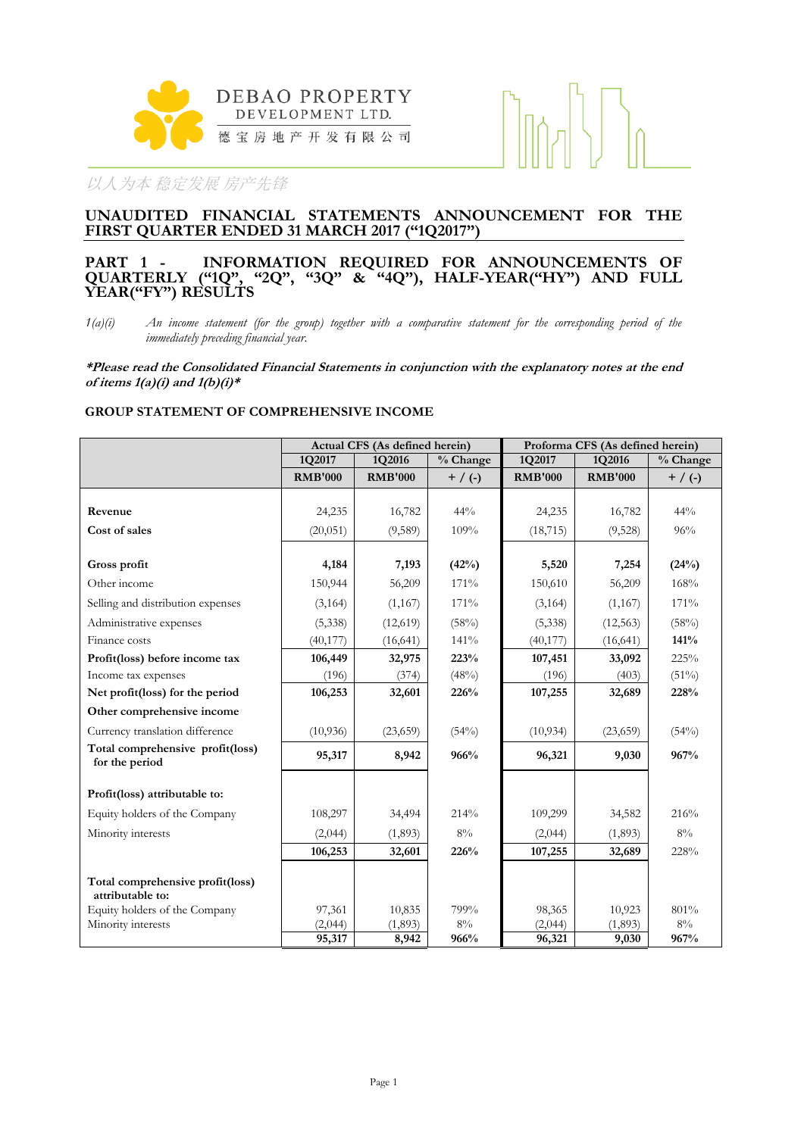

## **UNAUDITED FINANCIAL STATEMENTS ANNOUNCEMENT FOR THE FIRST QUARTER ENDED 31 MARCH 2017 ("1Q2017")**

## **PART 1 - INFORMATION REQUIRED FOR ANNOUNCEMENTS OF QUARTERLY ("1Q", "2Q", "3Q" & "4Q"), HALF-YEAR("HY") AND FULL YEAR("FY") RESULTS**

*1(a)(i) An income statement (for the group) together with a comparative statement for the corresponding period of the immediately preceding financial year.*

**\*Please read the Consolidated Financial Statements in conjunction with the explanatory notes at the end of items 1(a)(i) and 1(b)(i)\***

## **GROUP STATEMENT OF COMPREHENSIVE INCOME**

|                                                      |                | Actual CFS (As defined herein) |           | Proforma CFS (As defined herein) |                |             |  |
|------------------------------------------------------|----------------|--------------------------------|-----------|----------------------------------|----------------|-------------|--|
|                                                      | 1Q2017         | 1Q2016                         | % Change  | 1Q2017                           | 1Q2016         | % Change    |  |
|                                                      | <b>RMB'000</b> | <b>RMB'000</b>                 | $+$ / (-) | <b>RMB'000</b>                   | <b>RMB'000</b> | $+ / ( - )$ |  |
|                                                      |                |                                |           |                                  |                |             |  |
| Revenue                                              | 24,235         | 16,782                         | 44%       | 24,235                           | 16,782         | 44%         |  |
| Cost of sales                                        | (20, 051)      | (9,589)                        | 109%      | (18, 715)                        | (9,528)        | 96%         |  |
|                                                      |                |                                |           |                                  |                |             |  |
| Gross profit                                         | 4,184          | 7,193                          | (42%)     | 5,520                            | 7,254          | (24%)       |  |
| Other income                                         | 150,944        | 56,209                         | 171%      | 150,610                          | 56,209         | 168%        |  |
| Selling and distribution expenses                    | (3,164)        | (1,167)                        | 171%      | (3,164)                          | (1,167)        | 171%        |  |
| Administrative expenses                              | (5,338)        | (12,619)                       | (58%)     | (5,338)                          | (12, 563)      | (58%)       |  |
| Finance costs                                        | (40, 177)      | (16, 641)                      | 141%      | (40, 177)                        | (16, 641)      | 141%        |  |
| Profit(loss) before income tax                       | 106,449        | 32,975                         | 223%      | 107,451                          | 33,092         | 225%        |  |
| Income tax expenses                                  | (196)          | (374)                          | (48%)     | (196)                            | (403)          | $(51\%)$    |  |
| Net profit(loss) for the period                      | 106,253        | 32,601                         | 226%      | 107,255                          | 32,689         | 228%        |  |
| Other comprehensive income                           |                |                                |           |                                  |                |             |  |
| Currency translation difference                      | (10,936)       | (23,659)                       | (54%)     | (10, 934)                        | (23, 659)      | (54%)       |  |
| Total comprehensive profit(loss)<br>for the period   | 95,317         | 8,942                          | 966%      | 96,321                           | 9,030          | 967%        |  |
| Profit(loss) attributable to:                        |                |                                |           |                                  |                |             |  |
| Equity holders of the Company                        | 108,297        | 34,494                         | 214%      | 109,299                          | 34,582         | 216%        |  |
| Minority interests                                   | (2,044)        | (1,893)                        | $8\%$     | (2,044)                          | (1,893)        | $8\%$       |  |
|                                                      | 106,253        | 32,601                         | 226%      | 107,255                          | 32,689         | 228%        |  |
| Total comprehensive profit(loss)<br>attributable to: |                |                                |           |                                  |                |             |  |
| Equity holders of the Company                        | 97,361         | 10,835                         | 799%      | 98,365                           | 10,923         | 801%        |  |
| Minority interests                                   | (2,044)        | (1,893)                        | $8\%$     | (2,044)                          | (1,893)        | $8\%$       |  |
|                                                      | 95,317         | 8,942                          | 966%      | 96,321                           | 9,030          | 967%        |  |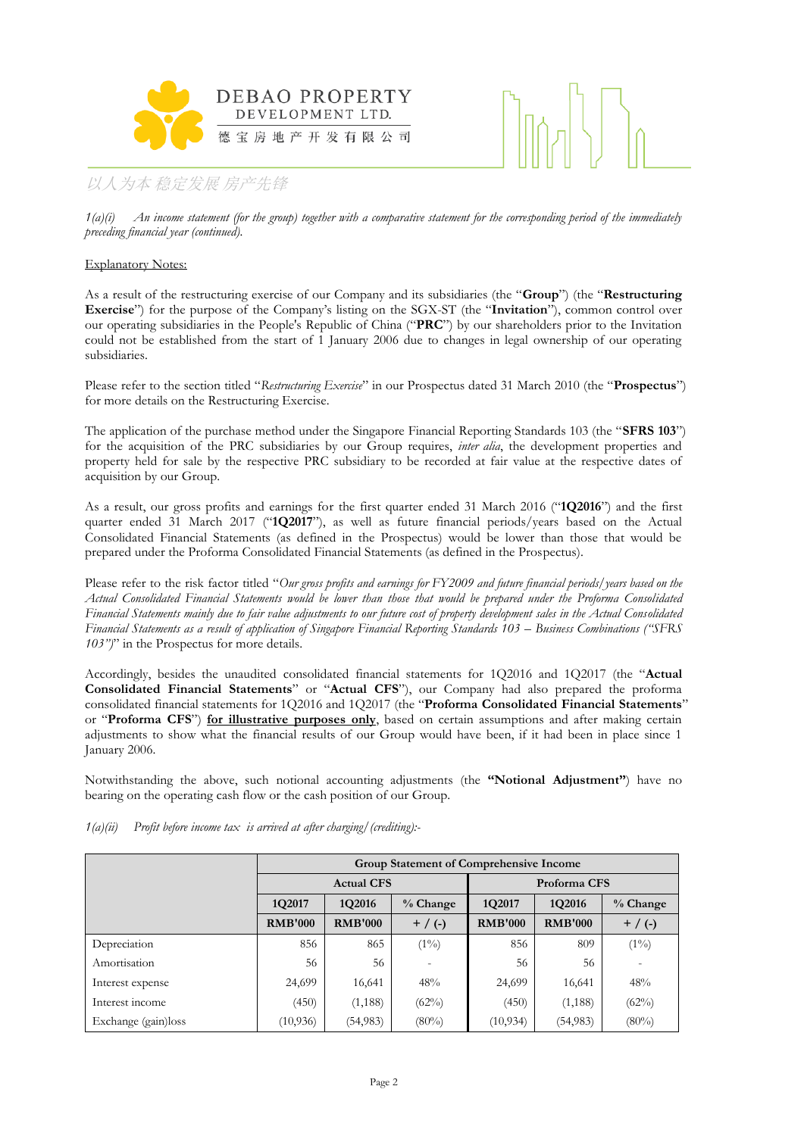



*1(a)(i) An income statement (for the group) together with a comparative statement for the corresponding period of the immediately preceding financial year (continued).*

## Explanatory Notes:

As a result of the restructuring exercise of our Company and its subsidiaries (the "**Group**") (the "**Restructuring Exercise**") for the purpose of the Company's listing on the SGX-ST (the "**Invitation**"), common control over our operating subsidiaries in the People's Republic of China ("**PRC**") by our shareholders prior to the Invitation could not be established from the start of 1 January 2006 due to changes in legal ownership of our operating subsidiaries.

Please refer to the section titled "*Restructuring Exercise*" in our Prospectus dated 31 March 2010 (the "**Prospectus**") for more details on the Restructuring Exercise.

The application of the purchase method under the Singapore Financial Reporting Standards 103 (the "**SFRS 103**") for the acquisition of the PRC subsidiaries by our Group requires, *inter alia*, the development properties and property held for sale by the respective PRC subsidiary to be recorded at fair value at the respective dates of acquisition by our Group.

As a result, our gross profits and earnings for the first quarter ended 31 March 2016 ("**1Q2016**") and the first quarter ended 31 March 2017 ("**1Q2017**"), as well as future financial periods/years based on the Actual Consolidated Financial Statements (as defined in the Prospectus) would be lower than those that would be prepared under the Proforma Consolidated Financial Statements (as defined in the Prospectus).

Please refer to the risk factor titled "*Our gross profits and earnings for FY2009 and future financial periods/years based on the Actual Consolidated Financial Statements would be lower than those that would be prepared under the Proforma Consolidated Financial Statements mainly due to fair value adjustments to our future cost of property development sales in the Actual Consolidated Financial Statements as a result of application of Singapore Financial Reporting Standards 103 – Business Combinations ("SFRS 103")*" in the Prospectus for more details.

Accordingly, besides the unaudited consolidated financial statements for 1Q2016 and 1Q2017 (the "**Actual Consolidated Financial Statements**" or "**Actual CFS**"), our Company had also prepared the proforma consolidated financial statements for 1Q2016 and 1Q2017 (the "**Proforma Consolidated Financial Statements**" or "**Proforma CFS**") **for illustrative purposes only**, based on certain assumptions and after making certain adjustments to show what the financial results of our Group would have been, if it had been in place since 1 January 2006.

Notwithstanding the above, such notional accounting adjustments (the **"Notional Adjustment"**) have no bearing on the operating cash flow or the cash position of our Group.

|                     | <b>Group Statement of Comprehensive Income</b> |                             |            |                |                |            |  |  |
|---------------------|------------------------------------------------|-----------------------------|------------|----------------|----------------|------------|--|--|
|                     |                                                | <b>Actual CFS</b>           |            | Proforma CFS   |                |            |  |  |
|                     | 1Q2017                                         | 1Q2016                      | $%$ Change | 1Q2017         | 1Q2016         | $%$ Change |  |  |
|                     | <b>RMB'000</b>                                 | <b>RMB'000</b><br>$+$ / (-) |            | <b>RMB'000</b> | <b>RMB'000</b> | $+$ / (-)  |  |  |
| Depreciation        | 856                                            | 865                         | $(1\%)$    | 856            | 809            | $(1\%)$    |  |  |
| Amortisation        | 56                                             | 56                          |            | 56             | 56             |            |  |  |
| Interest expense    | 24,699                                         | 16,641                      | 48%        | 24,699         | 16,641         | 48%        |  |  |
| Interest income     | (450)                                          | (1, 188)                    | $(62\%)$   | (450)          | (1, 188)       | (62%)      |  |  |
| Exchange (gain)loss | (10, 936)                                      | (54, 983)                   | $(80\%)$   | (10, 934)      | (54, 983)      | $(80\%)$   |  |  |

*1(a)(ii) Profit before income tax is arrived at after charging/(crediting):-*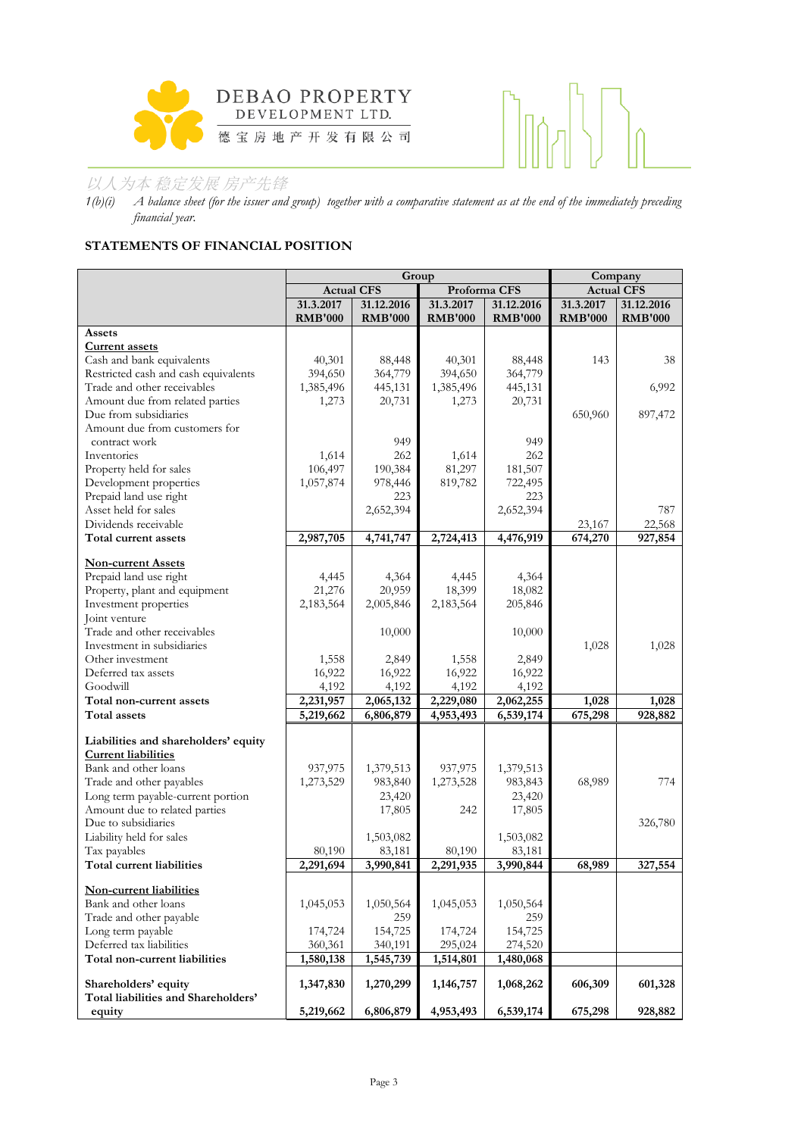



*1(b)(i) A balance sheet (for the issuer and group) together with a comparative statement as at the end of the immediately preceding financial year.*

## **STATEMENTS OF FINANCIAL POSITION**

|                                                           |                        | Group                  | Company                |                        |                  |                   |
|-----------------------------------------------------------|------------------------|------------------------|------------------------|------------------------|------------------|-------------------|
|                                                           | <b>Actual CFS</b>      |                        | Proforma CFS           |                        |                  | <b>Actual CFS</b> |
|                                                           | 31.3.2017              | 31.12.2016             | 31.3.2017              | 31.12.2016             | 31.3.2017        | 31.12.2016        |
|                                                           | <b>RMB'000</b>         | <b>RMB'000</b>         | <b>RMB'000</b>         | <b>RMB'000</b>         | <b>RMB'000</b>   | <b>RMB'000</b>    |
| Assets                                                    |                        |                        |                        |                        |                  |                   |
| <b>Current assets</b>                                     |                        |                        |                        |                        |                  |                   |
| Cash and bank equivalents                                 | 40,301                 | 88,448                 | 40,301                 | 88,448                 | 143              | 38                |
| Restricted cash and cash equivalents                      | 394,650                | 364,779                | 394,650                | 364,779                |                  |                   |
| Trade and other receivables                               | 1,385,496              | 445,131                | 1,385,496              | 445,131                |                  | 6,992             |
| Amount due from related parties                           | 1,273                  | 20,731                 | 1,273                  | 20,731                 |                  |                   |
| Due from subsidiaries                                     |                        |                        |                        |                        | 650,960          | 897,472           |
| Amount due from customers for                             |                        |                        |                        |                        |                  |                   |
| contract work                                             |                        | 949                    |                        | 949                    |                  |                   |
| Inventories                                               | 1,614                  | 262                    | 1,614                  | 262                    |                  |                   |
| Property held for sales                                   | 106,497                | 190,384                | 81,297                 | 181,507                |                  |                   |
| Development properties                                    | 1,057,874              | 978,446                | 819,782                | 722,495                |                  |                   |
| Prepaid land use right                                    |                        | 223                    |                        | 223                    |                  |                   |
| Asset held for sales                                      |                        | 2,652,394              |                        | 2,652,394              |                  | 787               |
| Dividends receivable                                      |                        |                        |                        |                        | 23,167           | 22,568            |
| Total current assets                                      | 2,987,705              | 4,741,747              | 2,724,413              | 4,476,919              | 674,270          | 927,854           |
|                                                           |                        |                        |                        |                        |                  |                   |
| <b>Non-current Assets</b>                                 |                        |                        |                        |                        |                  |                   |
| Prepaid land use right                                    | 4,445                  | 4,364                  | 4,445                  | 4,364                  |                  |                   |
| Property, plant and equipment<br>Investment properties    | 21,276                 | 20,959                 | 18,399                 | 18,082                 |                  |                   |
|                                                           | 2,183,564              | 2,005,846              | 2,183,564              | 205,846                |                  |                   |
| Joint venture<br>Trade and other receivables              |                        | 10,000                 |                        | 10,000                 |                  |                   |
| Investment in subsidiaries                                |                        |                        |                        |                        |                  |                   |
|                                                           |                        |                        |                        |                        | 1,028            | 1,028             |
| Other investment                                          | 1,558                  | 2,849                  | 1,558                  | 2,849                  |                  |                   |
| Deferred tax assets<br>Goodwill                           | 16,922                 | 16,922                 | 16,922                 | 16,922                 |                  |                   |
|                                                           | 4,192                  | 4,192                  | 4,192                  | 4,192                  |                  |                   |
| Total non-current assets<br>Total assets                  | 2,231,957<br>5,219,662 | 2,065,132<br>6,806,879 | 2,229,080<br>4,953,493 | 2,062,255<br>6,539,174 | 1,028<br>675,298 | 1,028<br>928,882  |
|                                                           |                        |                        |                        |                        |                  |                   |
| Liabilities and shareholders' equity                      |                        |                        |                        |                        |                  |                   |
| <b>Current liabilities</b>                                |                        |                        |                        |                        |                  |                   |
| Bank and other loans                                      | 937,975                | 1,379,513              | 937,975                | 1,379,513              |                  |                   |
| Trade and other payables                                  | 1,273,529              | 983,840                | 1,273,528              | 983,843                | 68,989           | 774               |
| Long term payable-current portion                         |                        | 23,420                 |                        | 23,420                 |                  |                   |
| Amount due to related parties                             |                        | 17,805                 | 242                    | 17,805                 |                  |                   |
| Due to subsidiaries                                       |                        |                        |                        |                        |                  | 326,780           |
| Liability held for sales                                  |                        | 1,503,082              |                        | 1,503,082              |                  |                   |
| Tax payables                                              | 80,190                 | 83,181                 | 80,190                 | 83,181                 |                  |                   |
| <b>Total current liabilities</b>                          | 2,291,694              | 3,990,841              | 2,291,935              | 3,990,844              | 68,989           | 327,554           |
|                                                           |                        |                        |                        |                        |                  |                   |
| Non-current liabilities                                   |                        |                        |                        |                        |                  |                   |
| Bank and other loans                                      | 1,045,053              | 1,050,564              | 1,045,053              | 1,050,564              |                  |                   |
| Trade and other payable                                   |                        | 259                    |                        | 259                    |                  |                   |
| Long term payable                                         | 174,724                | 154,725                | 174,724                | 154,725                |                  |                   |
| Deferred tax liabilities<br>Total non-current liabilities | 360,361                | 340,191                | 295,024                | 274,520                |                  |                   |
|                                                           | 1,580,138              | 1,545,739              | 1,514,801              | 1,480,068              |                  |                   |
| Shareholders' equity                                      | 1,347,830              | 1,270,299              | 1,146,757              | 1,068,262              | 606,309          | 601,328           |
| Total liabilities and Shareholders'                       |                        |                        |                        |                        |                  |                   |
| equity                                                    | 5,219,662              | 6,806,879              | 4,953,493              | 6,539,174              | 675,298          | 928,882           |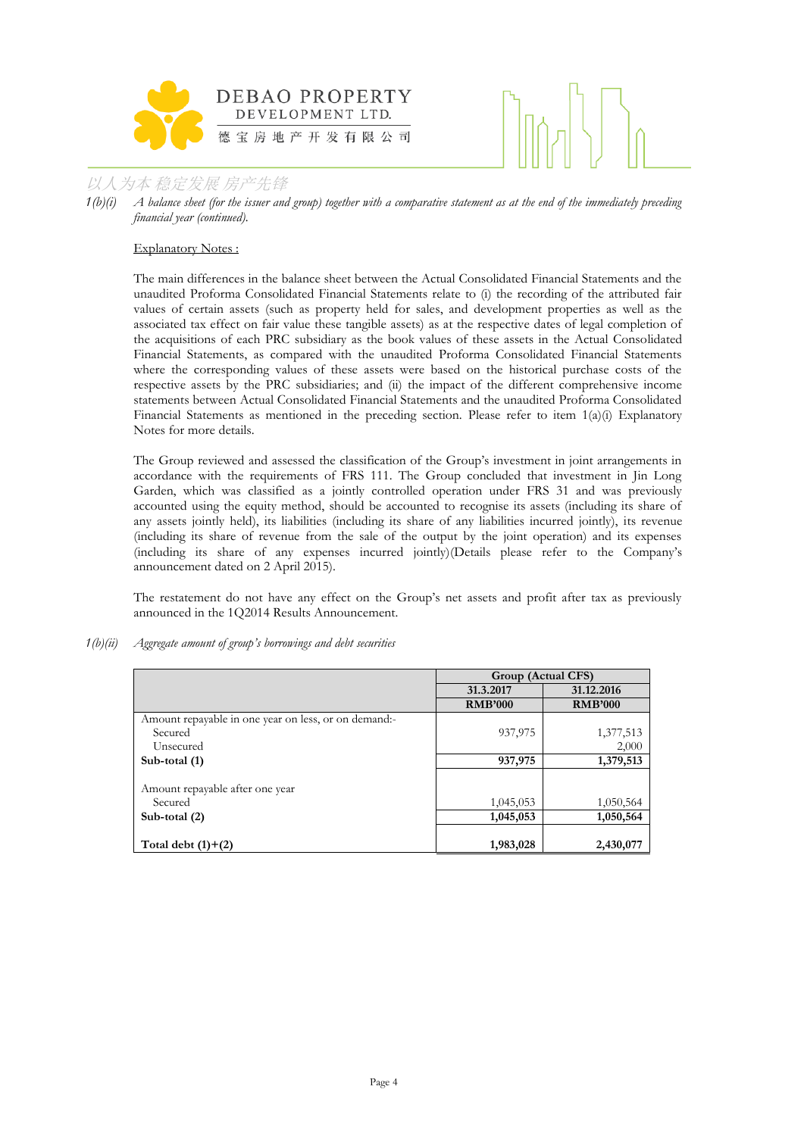

*1(b)(i) A balance sheet (for the issuer and group) together with a comparative statement as at the end of the immediately preceding financial year (continued).*

## Explanatory Notes :

The main differences in the balance sheet between the Actual Consolidated Financial Statements and the unaudited Proforma Consolidated Financial Statements relate to (i) the recording of the attributed fair values of certain assets (such as property held for sales, and development properties as well as the associated tax effect on fair value these tangible assets) as at the respective dates of legal completion of the acquisitions of each PRC subsidiary as the book values of these assets in the Actual Consolidated Financial Statements, as compared with the unaudited Proforma Consolidated Financial Statements where the corresponding values of these assets were based on the historical purchase costs of the respective assets by the PRC subsidiaries; and (ii) the impact of the different comprehensive income statements between Actual Consolidated Financial Statements and the unaudited Proforma Consolidated Financial Statements as mentioned in the preceding section. Please refer to item  $1(a)(i)$  Explanatory Notes for more details.

The Group reviewed and assessed the classification of the Group's investment in joint arrangements in accordance with the requirements of FRS 111. The Group concluded that investment in Jin Long Garden, which was classified as a jointly controlled operation under FRS 31 and was previously accounted using the equity method, should be accounted to recognise its assets (including its share of any assets jointly held), its liabilities (including its share of any liabilities incurred jointly), its revenue (including its share of revenue from the sale of the output by the joint operation) and its expenses (including its share of any expenses incurred jointly)(Details please refer to the Company's announcement dated on 2 April 2015).

The restatement do not have any effect on the Group's net assets and profit after tax as previously announced in the 1Q2014 Results Announcement.

*1(b)(ii) Aggregate amount of group's borrowings and debt securities* 

|                                                      | Group (Actual CFS) |                |
|------------------------------------------------------|--------------------|----------------|
|                                                      | 31.3.2017          | 31.12.2016     |
|                                                      | <b>RMB'000</b>     | <b>RMB'000</b> |
| Amount repayable in one year on less, or on demand:- |                    |                |
| Secured                                              | 937,975            | 1,377,513      |
| Unsecured                                            |                    | 2,000          |
| Sub-total (1)                                        | 937,975            | 1,379,513      |
| Amount repayable after one year                      |                    |                |
| Secured                                              | 1,045,053          | 1,050,564      |
| Sub-total (2)                                        | 1,045,053          | 1,050,564      |
| Total debt $(1)+(2)$                                 | 1,983,028          | 2,430,077      |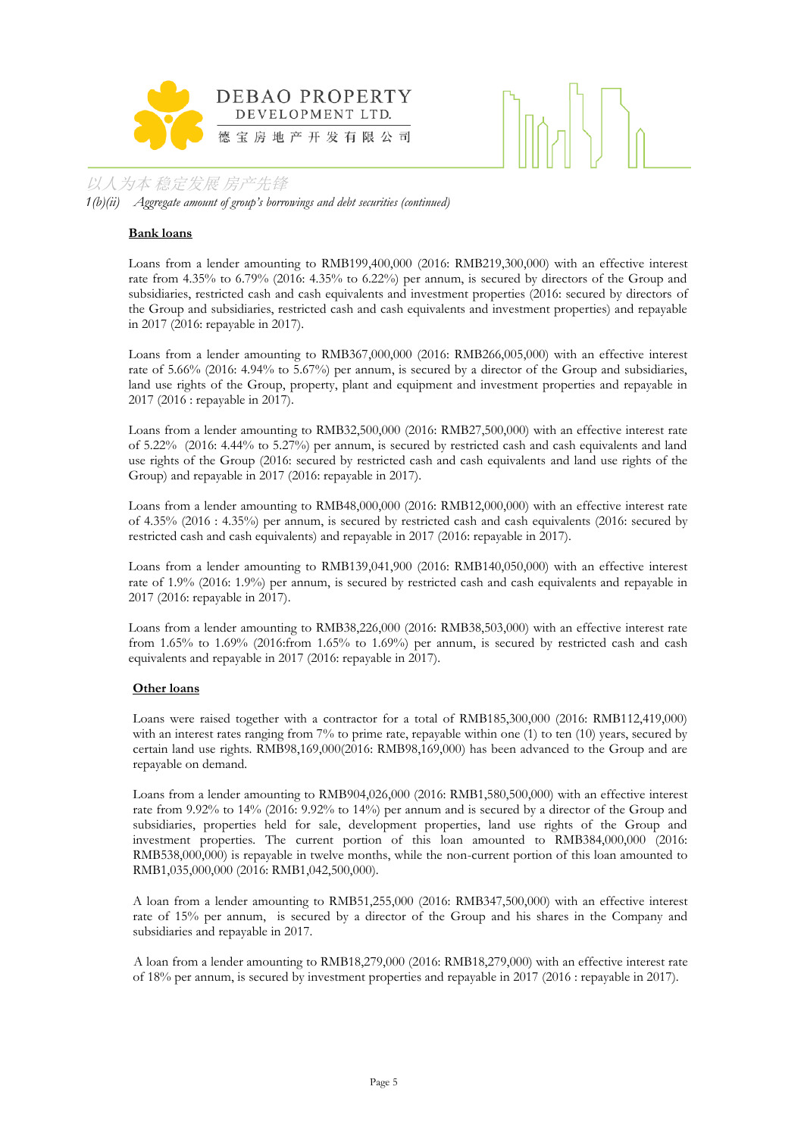



*1(b)(ii) Aggregate amount of group's borrowings and debt securities (continued)*

#### **Bank loans**

Loans from a lender amounting to RMB199,400,000 (2016: RMB219,300,000) with an effective interest rate from 4.35% to 6.79% (2016: 4.35% to 6.22%) per annum, is secured by directors of the Group and subsidiaries, restricted cash and cash equivalents and investment properties (2016: secured by directors of the Group and subsidiaries, restricted cash and cash equivalents and investment properties) and repayable in 2017 (2016: repayable in 2017).

Loans from a lender amounting to RMB367,000,000 (2016: RMB266,005,000) with an effective interest rate of 5.66% (2016: 4.94% to 5.67%) per annum, is secured by a director of the Group and subsidiaries, land use rights of the Group, property, plant and equipment and investment properties and repayable in 2017 (2016 : repayable in 2017).

Loans from a lender amounting to RMB32,500,000 (2016: RMB27,500,000) with an effective interest rate of 5.22% (2016: 4.44% to 5.27%) per annum, is secured by restricted cash and cash equivalents and land use rights of the Group (2016: secured by restricted cash and cash equivalents and land use rights of the Group) and repayable in 2017 (2016: repayable in 2017).

Loans from a lender amounting to RMB48,000,000 (2016: RMB12,000,000) with an effective interest rate of 4.35% (2016 : 4.35%) per annum, is secured by restricted cash and cash equivalents (2016: secured by restricted cash and cash equivalents) and repayable in 2017 (2016: repayable in 2017).

Loans from a lender amounting to RMB139,041,900 (2016: RMB140,050,000) with an effective interest rate of 1.9% (2016: 1.9%) per annum, is secured by restricted cash and cash equivalents and repayable in 2017 (2016: repayable in 2017).

Loans from a lender amounting to RMB38,226,000 (2016: RMB38,503,000) with an effective interest rate from 1.65% to 1.69% (2016:from 1.65% to 1.69%) per annum, is secured by restricted cash and cash equivalents and repayable in 2017 (2016: repayable in 2017).

## **Other loans**

Loans were raised together with a contractor for a total of RMB185,300,000 (2016: RMB112,419,000) with an interest rates ranging from 7% to prime rate, repayable within one (1) to ten (10) years, secured by certain land use rights. RMB98,169,000(2016: RMB98,169,000) has been advanced to the Group and are repayable on demand.

Loans from a lender amounting to RMB904,026,000 (2016: RMB1,580,500,000) with an effective interest rate from 9.92% to 14% (2016: 9.92% to 14%) per annum and is secured by a director of the Group and subsidiaries, properties held for sale, development properties, land use rights of the Group and investment properties. The current portion of this loan amounted to RMB384,000,000 (2016: RMB538,000,000) is repayable in twelve months, while the non-current portion of this loan amounted to RMB1,035,000,000 (2016: RMB1,042,500,000).

A loan from a lender amounting to RMB51,255,000 (2016: RMB347,500,000) with an effective interest rate of 15% per annum, is secured by a director of the Group and his shares in the Company and subsidiaries and repayable in 2017.

A loan from a lender amounting to RMB18,279,000 (2016: RMB18,279,000) with an effective interest rate of 18% per annum, is secured by investment properties and repayable in 2017 (2016 : repayable in 2017).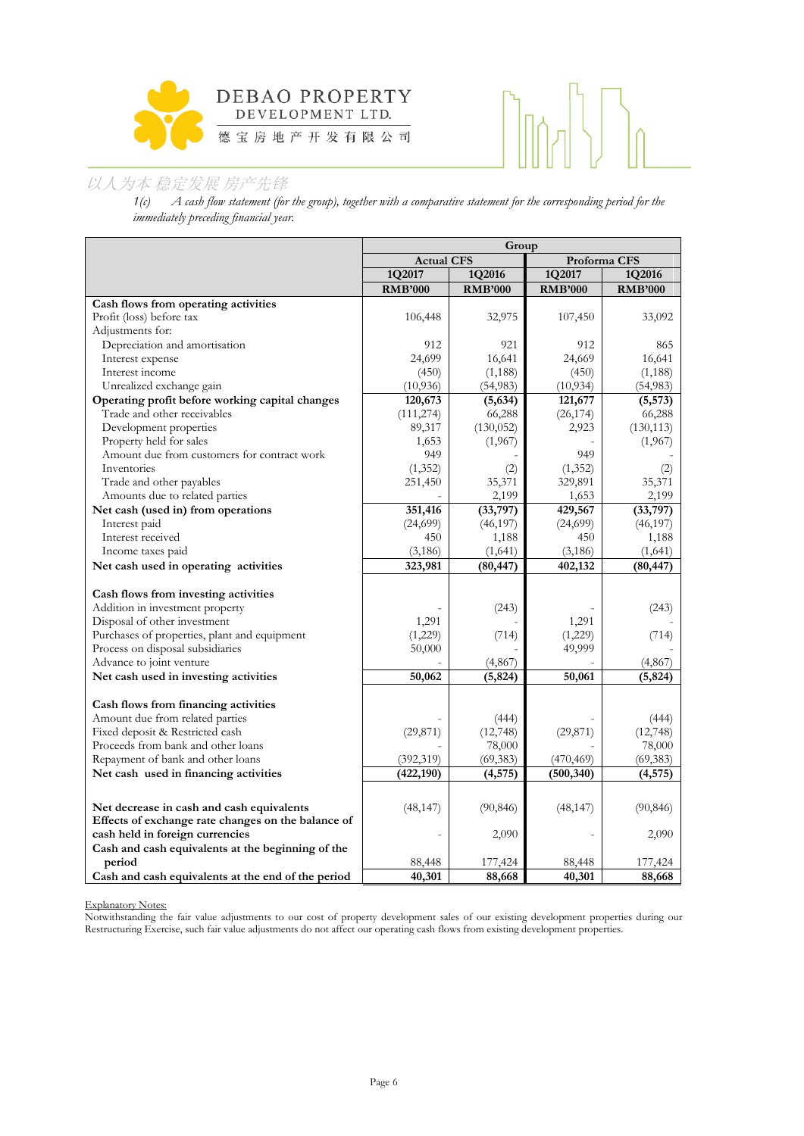



*1(c) A cash flow statement (for the group), together with a comparative statement for the corresponding period for the immediately preceding financial year.*

|                                                    | Group             |                |                |                |  |
|----------------------------------------------------|-------------------|----------------|----------------|----------------|--|
|                                                    | <b>Actual CFS</b> |                |                | Proforma CFS   |  |
|                                                    | 1Q2017            | 1Q2016         | 1Q2017         | 1Q2016         |  |
|                                                    | <b>RMB'000</b>    | <b>RMB'000</b> | <b>RMB'000</b> | <b>RMB'000</b> |  |
| Cash flows from operating activities               |                   |                |                |                |  |
| Profit (loss) before tax                           | 106,448           | 32,975         | 107,450        | 33,092         |  |
| Adjustments for:                                   |                   |                |                |                |  |
| Depreciation and amortisation                      | 912               | 921            | 912            | 865            |  |
| Interest expense                                   | 24,699            | 16,641         | 24,669         | 16,641         |  |
| Interest income                                    | (450)             | (1, 188)       | (450)          | (1, 188)       |  |
| Unrealized exchange gain                           | (10, 936)         | (54,983)       | (10, 934)      | (54,983)       |  |
| Operating profit before working capital changes    | 120,673           | (5, 634)       | 121,677        | (5, 573)       |  |
| Trade and other receivables                        | (111, 274)        | 66,288         | (26, 174)      | 66,288         |  |
| Development properties                             | 89,317            | (130, 052)     | 2,923          | (130, 113)     |  |
| Property held for sales                            | 1,653             | (1,967)        |                | (1,967)        |  |
| Amount due from customers for contract work        | 949               |                | 949            |                |  |
| Inventories                                        | (1, 352)          | (2)            | (1, 352)       | (2)            |  |
| Trade and other payables                           | 251,450           | 35,371         | 329,891        | 35,371         |  |
| Amounts due to related parties                     |                   | 2,199          | 1,653          | 2,199          |  |
| Net cash (used in) from operations                 | 351,416           | (33,797)       | 429,567        | (33,797)       |  |
| Interest paid                                      | (24, 699)         | (46, 197)      | (24, 699)      | (46, 197)      |  |
| Interest received                                  | 450               | 1,188          | 450            | 1,188          |  |
| Income taxes paid                                  | (3, 186)          | (1,641)        | (3, 186)       | (1,641)        |  |
| Net cash used in operating activities              | 323,981           | (80, 447)      | 402,132        | (80, 447)      |  |
|                                                    |                   |                |                |                |  |
| Cash flows from investing activities               |                   |                |                |                |  |
| Addition in investment property                    |                   | (243)          |                | (243)          |  |
| Disposal of other investment                       | 1,291             |                | 1,291          |                |  |
| Purchases of properties, plant and equipment       | (1,229)           | (714)          | (1,229)        | (714)          |  |
| Process on disposal subsidiaries                   | 50,000            |                | 49,999         |                |  |
| Advance to joint venture                           |                   | (4, 867)       |                | (4, 867)       |  |
| Net cash used in investing activities              | 50,062            | (5, 824)       | 50,061         | (5, 824)       |  |
| Cash flows from financing activities               |                   |                |                |                |  |
| Amount due from related parties                    |                   | (444)          |                | (444)          |  |
| Fixed deposit & Restricted cash                    | (29, 871)         | (12,748)       | (29, 871)      | (12,748)       |  |
| Proceeds from bank and other loans                 |                   | 78,000         |                | 78,000         |  |
| Repayment of bank and other loans                  | (392, 319)        | (69, 383)      | (470, 469)     | (69, 383)      |  |
| Net cash used in financing activities              | (422, 190)        | (4, 575)       | (500, 340)     | (4, 575)       |  |
|                                                    |                   |                |                |                |  |
|                                                    |                   |                |                |                |  |
| Net decrease in cash and cash equivalents          | (48, 147)         | (90, 846)      | (48, 147)      | (90, 846)      |  |
| Effects of exchange rate changes on the balance of |                   |                |                |                |  |
| cash held in foreign currencies                    |                   | 2,090          |                | 2,090          |  |
| Cash and cash equivalents at the beginning of the  |                   |                |                |                |  |
| period                                             | 88,448            | 177,424        | 88,448         | 177,424        |  |
| Cash and cash equivalents at the end of the period | 40,301            | 88,668         | 40,301         | 88,668         |  |

Explanatory Notes:

Notwithstanding the fair value adjustments to our cost of property development sales of our existing development properties during our Restructuring Exercise, such fair value adjustments do not affect our operating cash flows from existing development properties.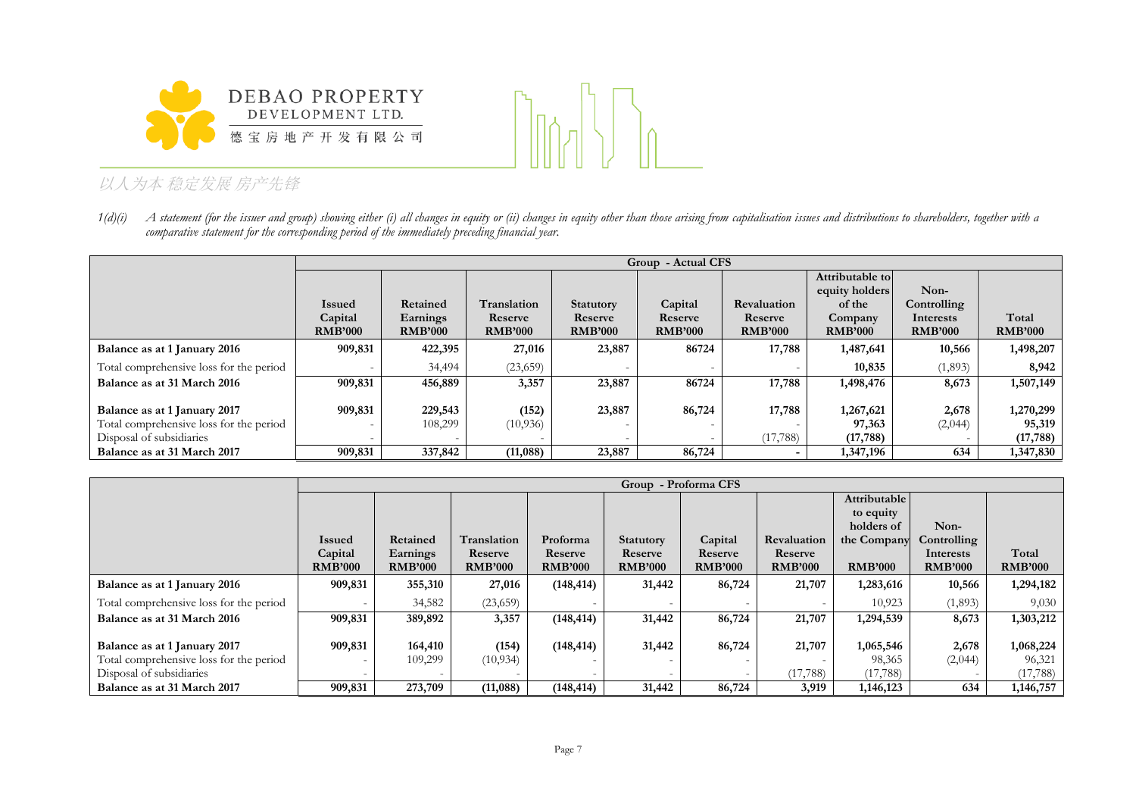



1(d)(i) A statement (for the issuer and group) showing either (i) all changes in equity or (ii) changes in equity other than those arising from capitalisation issues and distributions to shareholders, together with a *comparative statement for the corresponding period of the immediately preceding financial year.*

|                                         |                | <b>Group - Actual CFS</b> |                |                  |                |                |                 |                |                |  |
|-----------------------------------------|----------------|---------------------------|----------------|------------------|----------------|----------------|-----------------|----------------|----------------|--|
|                                         |                |                           |                |                  |                |                | Attributable to |                |                |  |
|                                         |                |                           |                |                  |                |                | equity holders  | Non-           |                |  |
|                                         | <b>Issued</b>  | Retained                  | Translation    | <b>Statutory</b> | Capital        | Revaluation    | of the          | Controlling    |                |  |
|                                         | Capital        | Earnings                  | Reserve        | Reserve          | Reserve        | Reserve        | Company         | Interests      | Total          |  |
|                                         | <b>RMB'000</b> | <b>RMB'000</b>            | <b>RMB'000</b> | <b>RMB'000</b>   | <b>RMB'000</b> | <b>RMB'000</b> | <b>RMB'000</b>  | <b>RMB'000</b> | <b>RMB'000</b> |  |
| Balance as at 1 January 2016            | 909,831        | 422,395                   | 27,016         | 23,887           | 86724          | 17,788         | 1,487,641       | 10,566         | 1,498,207      |  |
| Total comprehensive loss for the period |                | 34,494                    | (23,659)       |                  |                |                | 10,835          | (1,893)        | 8,942          |  |
| Balance as at 31 March 2016             | 909,831        | 456,889                   | 3,357          | 23,887           | 86724          | 17,788         | 1,498,476       | 8,673          | 1,507,149      |  |
|                                         |                |                           |                |                  |                |                |                 |                |                |  |
| Balance as at 1 January 2017            | 909,831        | 229,543                   | (152)          | 23,887           | 86,724         | 17,788         | 1,267,621       | 2,678          | 1,270,299      |  |
| Total comprehensive loss for the period |                | 108,299                   | (10, 936)      |                  |                |                | 97,363          | (2,044)        | 95,319         |  |
| Disposal of subsidiaries                |                |                           |                |                  |                | (17,788)       | (17, 788)       |                | (17, 788)      |  |
| Balance as at 31 March 2017             | 909,831        | 337,842                   | (11,088)       | 23,887           | 86,724         |                | 1,347,196       | 634            | 1,347,830      |  |

|                                         |                | Group - Proforma CFS |                |                |                  |                |                |                |                |                |
|-----------------------------------------|----------------|----------------------|----------------|----------------|------------------|----------------|----------------|----------------|----------------|----------------|
|                                         |                |                      |                |                |                  |                |                | Attributable   |                |                |
|                                         |                |                      |                |                |                  |                |                | to equity      |                |                |
|                                         |                |                      |                |                |                  |                |                | holders of     | Non-           |                |
|                                         | <b>Issued</b>  | Retained             | Translation    | Proforma       | <b>Statutory</b> | Capital        | Revaluation    | the Company    | Controlling    |                |
|                                         | Capital        | Earnings             | Reserve        | Reserve        | Reserve          | Reserve        | Reserve        |                | Interests      | Total          |
|                                         | <b>RMB'000</b> | <b>RMB'000</b>       | <b>RMB'000</b> | <b>RMB'000</b> | <b>RMB'000</b>   | <b>RMB'000</b> | <b>RMB'000</b> | <b>RMB'000</b> | <b>RMB'000</b> | <b>RMB'000</b> |
| Balance as at 1 January 2016            | 909,831        | 355,310              | 27,016         | (148, 414)     | 31,442           | 86,724         | 21,707         | 1,283,616      | 10,566         | 1,294,182      |
| Total comprehensive loss for the period |                | 34,582               | (23,659)       |                |                  |                |                | 10,923         | (1,893)        | 9,030          |
| Balance as at 31 March 2016             | 909,831        | 389,892              | 3,357          | (148, 414)     | 31,442           | 86,724         | 21,707         | 1,294,539      | 8,673          | 1,303,212      |
|                                         |                |                      |                |                |                  |                |                |                |                |                |
| Balance as at 1 January 2017            | 909,831        | 164,410              | (154)          | (148, 414)     | 31,442           | 86,724         | 21,707         | 1,065,546      | 2,678          | 1,068,224      |
| Total comprehensive loss for the period |                | 109,299              | (10, 934)      |                |                  |                |                | 98,365         | (2,044)        | 96,321         |
| Disposal of subsidiaries                |                |                      |                |                |                  |                | (17,788)       | (17, 788)      |                | (17, 788)      |
| Balance as at 31 March 2017             | 909,831        | 273,709              | (11,088)       | (148, 414)     | 31,442           | 86,724         | 3,919          | 1,146,123      | 634            | 1,146,757      |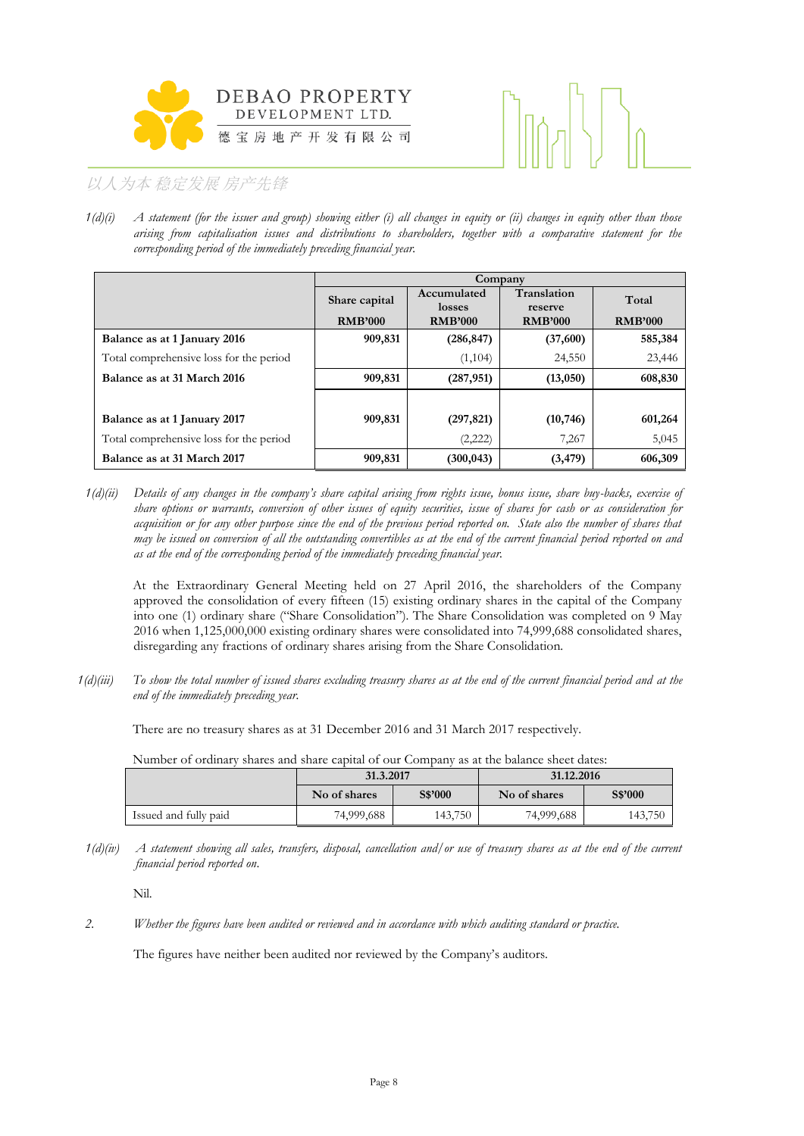



*1(d)(i) A statement (for the issuer and group) showing either (i) all changes in equity or (ii) changes in equity other than those arising from capitalisation issues and distributions to shareholders, together with a comparative statement for the corresponding period of the immediately preceding financial year.*

|                                         |                | Company               |                        |                |  |  |  |  |  |
|-----------------------------------------|----------------|-----------------------|------------------------|----------------|--|--|--|--|--|
|                                         | Share capital  | Accumulated<br>losses | Translation<br>reserve | Total          |  |  |  |  |  |
|                                         | <b>RMB'000</b> | <b>RMB'000</b>        | <b>RMB'000</b>         | <b>RMB'000</b> |  |  |  |  |  |
| Balance as at 1 January 2016            | 909,831        | (286, 847)            | (37,600)               | 585,384        |  |  |  |  |  |
| Total comprehensive loss for the period |                | (1,104)               | 24,550                 | 23,446         |  |  |  |  |  |
| Balance as at 31 March 2016             | 909,831        | (287, 951)            | (13,050)               | 608,830        |  |  |  |  |  |
|                                         |                |                       |                        |                |  |  |  |  |  |
| Balance as at 1 January 2017            | 909,831        | (297, 821)            | (10, 746)              | 601,264        |  |  |  |  |  |
| Total comprehensive loss for the period |                | (2,222)               | 7,267                  | 5,045          |  |  |  |  |  |
| Balance as at 31 March 2017             | 909,831        | (300, 043)            | (3, 479)               | 606,309        |  |  |  |  |  |

*1(d)(ii) Details of any changes in the company's share capital arising from rights issue, bonus issue, share buy-backs, exercise of share options or warrants, conversion of other issues of equity securities, issue of shares for cash or as consideration for acquisition or for any other purpose since the end of the previous period reported on. State also the number of shares that may be issued on conversion of all the outstanding convertibles as at the end of the current financial period reported on and as at the end of the corresponding period of the immediately preceding financial year.*

At the Extraordinary General Meeting held on 27 April 2016, the shareholders of the Company approved the consolidation of every fifteen (15) existing ordinary shares in the capital of the Company into one (1) ordinary share ("Share Consolidation"). The Share Consolidation was completed on 9 May 2016 when 1,125,000,000 existing ordinary shares were consolidated into 74,999,688 consolidated shares, disregarding any fractions of ordinary shares arising from the Share Consolidation.

*1(d)(iii) To show the total number of issued shares excluding treasury shares as at the end of the current financial period and at the end of the immediately preceding year.*

There are no treasury shares as at 31 December 2016 and 31 March 2017 respectively.

Number of ordinary shares and share capital of our Company as at the balance sheet dates:

|                       | 31.3.2017               |         | 31.12.2016   |         |  |  |
|-----------------------|-------------------------|---------|--------------|---------|--|--|
|                       | S\$'000<br>No of shares |         | No of shares | S\$'000 |  |  |
| Issued and fully paid | 74,999,688              | 143,750 | 74,999,688   | 143,750 |  |  |

*1(d)(iv) A statement showing all sales, transfers, disposal, cancellation and/or use of treasury shares as at the end of the current financial period reported on*.

Nil.

*2. Whether the figures have been audited or reviewed and in accordance with which auditing standard or practice.*

The figures have neither been audited nor reviewed by the Company's auditors.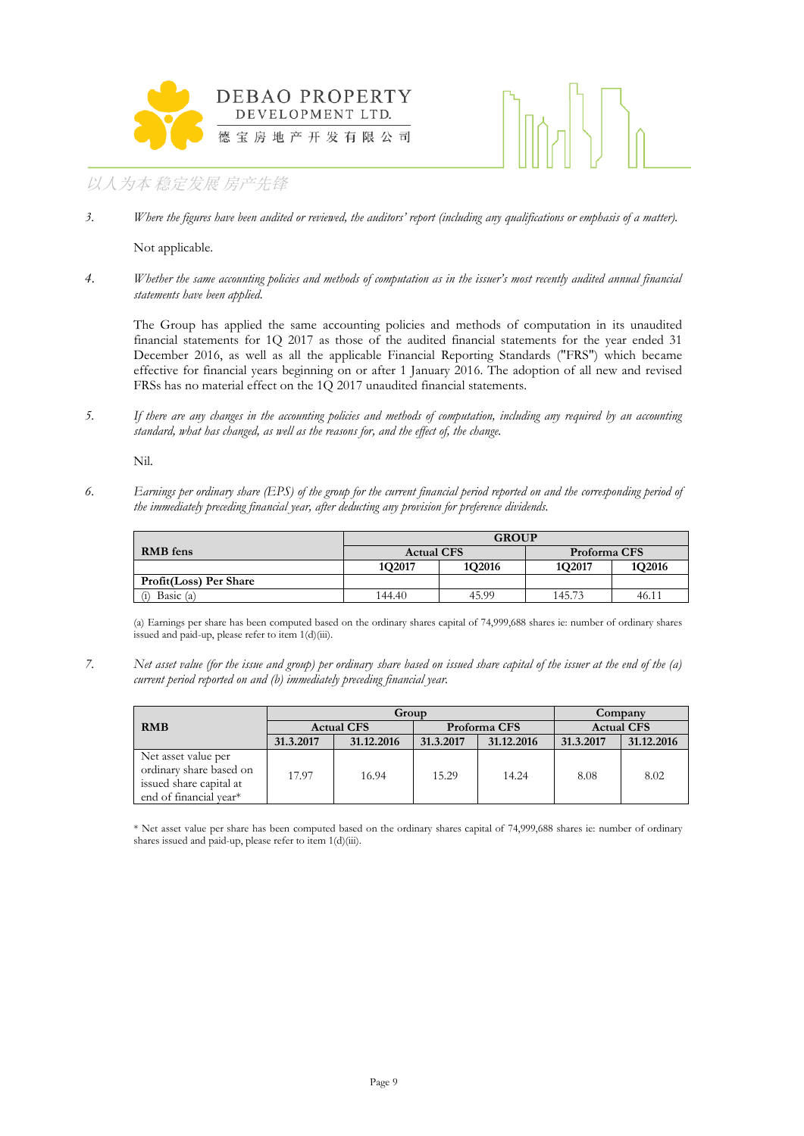



3. *Where the figures have been audited or reviewed, the auditors' report (including any qualifications or emphasis of a matter).* 

Not applicable.

*4. Whether the same accounting policies and methods of computation as in the issuer's most recently audited annual financial statements have been applied.*

The Group has applied the same accounting policies and methods of computation in its unaudited financial statements for 1Q 2017 as those of the audited financial statements for the year ended 31 December 2016, as well as all the applicable Financial Reporting Standards ("FRS") which became effective for financial years beginning on or after 1 January 2016. The adoption of all new and revised FRSs has no material effect on the 1Q 2017 unaudited financial statements.

*5. If there are any changes in the accounting policies and methods of computation, including any required by an accounting standard, what has changed, as well as the reasons for, and the effect of, the change.*

Nil.

*6. Earnings per ordinary share (EPS) of the group for the current financial period reported on and the corresponding period of the immediately preceding financial year, after deducting any provision for preference dividends.*

|                        | <b>GROUP</b>                       |        |              |        |  |  |  |
|------------------------|------------------------------------|--------|--------------|--------|--|--|--|
| RMB fens               | <b>Actual CFS</b>                  |        | Proforma CFS |        |  |  |  |
|                        | 1O <sub>2</sub> 017                | 1Q2016 | 1Q2017       | 1Q2016 |  |  |  |
| Profit(Loss) Per Share |                                    |        |              |        |  |  |  |
| Basic $(a)$<br>(1)     | 145.73<br>45.99<br>46.11<br>144.40 |        |              |        |  |  |  |

(a) Earnings per share has been computed based on the ordinary shares capital of 74,999,688 shares ie: number of ordinary shares issued and paid-up, please refer to item 1(d)(iii).

*7. Net asset value (for the issue and group) per ordinary share based on issued share capital of the issuer at the end of the (a) current period reported on and (b) immediately preceding financial year.*

|                                                                                                     |                   | Group      | Company   |              |           |                   |  |
|-----------------------------------------------------------------------------------------------------|-------------------|------------|-----------|--------------|-----------|-------------------|--|
| <b>RMB</b>                                                                                          | <b>Actual CFS</b> |            |           | Proforma CFS |           | <b>Actual CFS</b> |  |
|                                                                                                     | 31.3.2017         | 31.12.2016 | 31.3.2017 | 31.12.2016   | 31.3.2017 | 31.12.2016        |  |
| Net asset value per<br>ordinary share based on<br>issued share capital at<br>end of financial year* | 17.97             | 16.94      | 15.29     | 14.24        | 8.08      | 8.02              |  |

\* Net asset value per share has been computed based on the ordinary shares capital of 74,999,688 shares ie: number of ordinary shares issued and paid-up, please refer to item 1(d)(iii).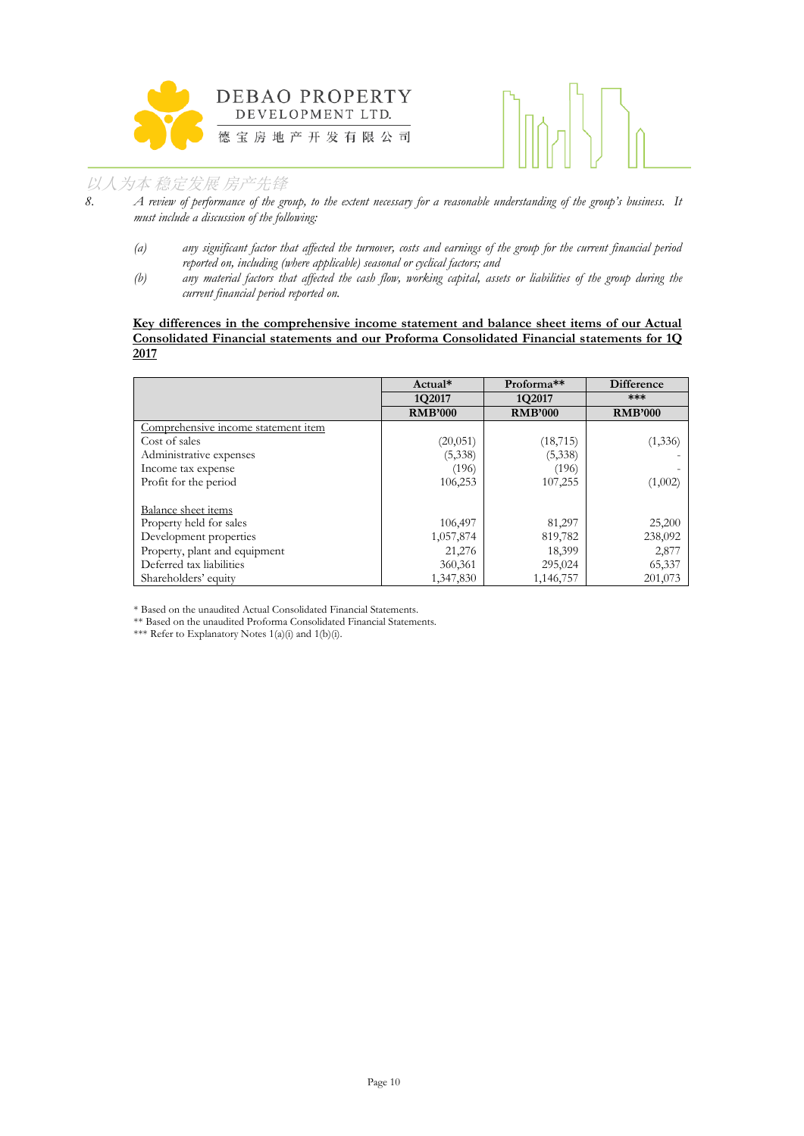



- *8. A review of performance of the group, to the extent necessary for a reasonable understanding of the group's business. It must include a discussion of the following:*
	- *(a) any significant factor that affected the turnover, costs and earnings of the group for the current financial period reported on, including (where applicable) seasonal or cyclical factors; and*
	- *(b) any material factors that affected the cash flow, working capital, assets or liabilities of the group during the current financial period reported on.*

## **Key differences in the comprehensive income statement and balance sheet items of our Actual Consolidated Financial statements and our Proforma Consolidated Financial statements for 1Q 2017**

|                                     | Actual*        | Proforma <sup>**</sup> | <b>Difference</b> |
|-------------------------------------|----------------|------------------------|-------------------|
|                                     | 1Q2017         | 1Q2017                 | ***               |
|                                     | <b>RMB'000</b> | <b>RMB'000</b>         | <b>RMB'000</b>    |
| Comprehensive income statement item |                |                        |                   |
| Cost of sales                       | (20,051)       | (18, 715)              | (1,336)           |
| Administrative expenses             | (5,338)        | (5,338)                |                   |
| Income tax expense                  | (196)          | (196)                  |                   |
| Profit for the period               | 106,253        | 107,255                | (1,002)           |
| Balance sheet items                 |                |                        |                   |
| Property held for sales             | 106,497        | 81,297                 | 25,200            |
| Development properties              | 1,057,874      | 819,782                | 238,092           |
| Property, plant and equipment       | 21,276         | 18,399                 | 2,877             |
| Deferred tax liabilities            | 360,361        | 295,024                | 65,337            |
| Shareholders' equity                | 1,347,830      | 1,146,757              | 201,073           |

\* Based on the unaudited Actual Consolidated Financial Statements.

\*\* Based on the unaudited Proforma Consolidated Financial Statements.

\*\*\* Refer to Explanatory Notes 1(a)(i) and 1(b)(i).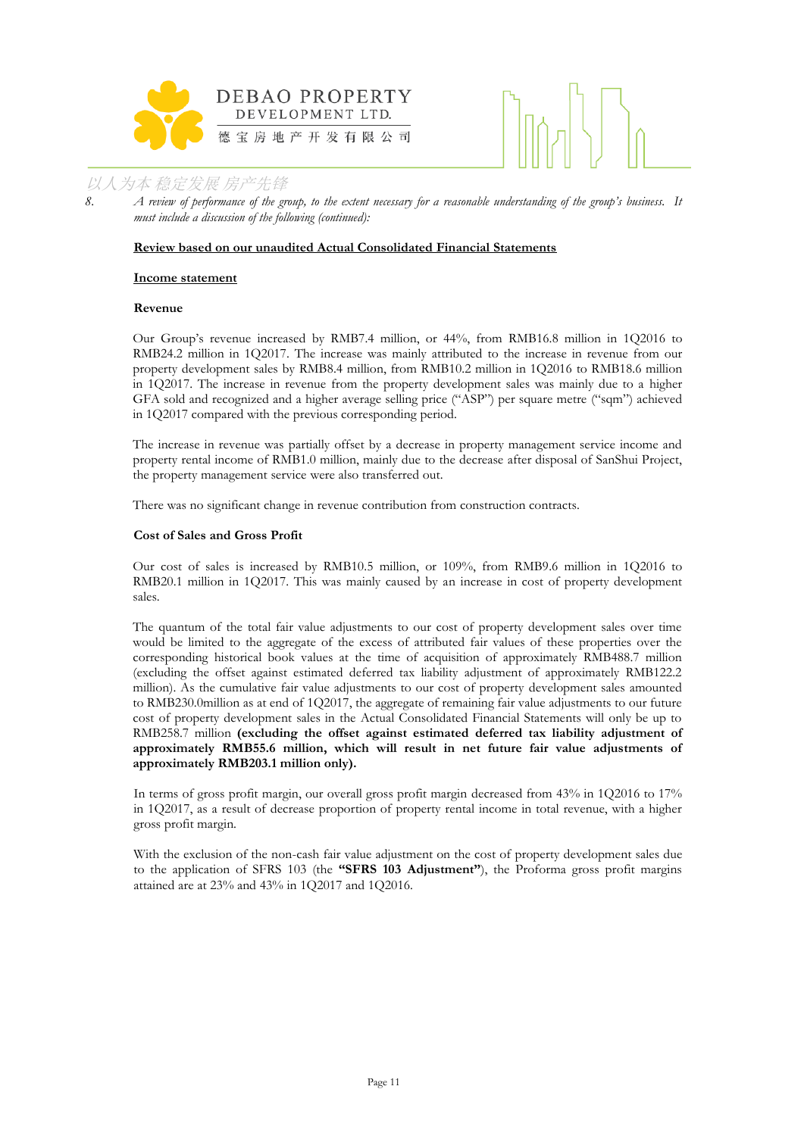



*8. A review of performance of the group, to the extent necessary for a reasonable understanding of the group's business. It must include a discussion of the following (continued):*

## **Review based on our unaudited Actual Consolidated Financial Statements**

#### **Income statement**

#### **Revenue**

Our Group's revenue increased by RMB7.4 million, or 44%, from RMB16.8 million in 1Q2016 to RMB24.2 million in 1Q2017. The increase was mainly attributed to the increase in revenue from our property development sales by RMB8.4 million, from RMB10.2 million in 1Q2016 to RMB18.6 million in 1Q2017. The increase in revenue from the property development sales was mainly due to a higher GFA sold and recognized and a higher average selling price ("ASP") per square metre ("sqm") achieved in 1Q2017 compared with the previous corresponding period.

The increase in revenue was partially offset by a decrease in property management service income and property rental income of RMB1.0 million, mainly due to the decrease after disposal of SanShui Project, the property management service were also transferred out.

There was no significant change in revenue contribution from construction contracts.

#### **Cost of Sales and Gross Profit**

Our cost of sales is increased by RMB10.5 million, or 109%, from RMB9.6 million in 1Q2016 to RMB20.1 million in 1Q2017. This was mainly caused by an increase in cost of property development sales.

The quantum of the total fair value adjustments to our cost of property development sales over time would be limited to the aggregate of the excess of attributed fair values of these properties over the corresponding historical book values at the time of acquisition of approximately RMB488.7 million (excluding the offset against estimated deferred tax liability adjustment of approximately RMB122.2 million). As the cumulative fair value adjustments to our cost of property development sales amounted to RMB230.0million as at end of 1Q2017, the aggregate of remaining fair value adjustments to our future cost of property development sales in the Actual Consolidated Financial Statements will only be up to RMB258.7 million **(excluding the offset against estimated deferred tax liability adjustment of approximately RMB55.6 million, which will result in net future fair value adjustments of approximately RMB203.1 million only).**

In terms of gross profit margin, our overall gross profit margin decreased from 43% in 1Q2016 to 17% in 1Q2017, as a result of decrease proportion of property rental income in total revenue, with a higher gross profit margin.

With the exclusion of the non-cash fair value adjustment on the cost of property development sales due to the application of SFRS 103 (the **"SFRS 103 Adjustment"**), the Proforma gross profit margins attained are at 23% and 43% in 1Q2017 and 1Q2016.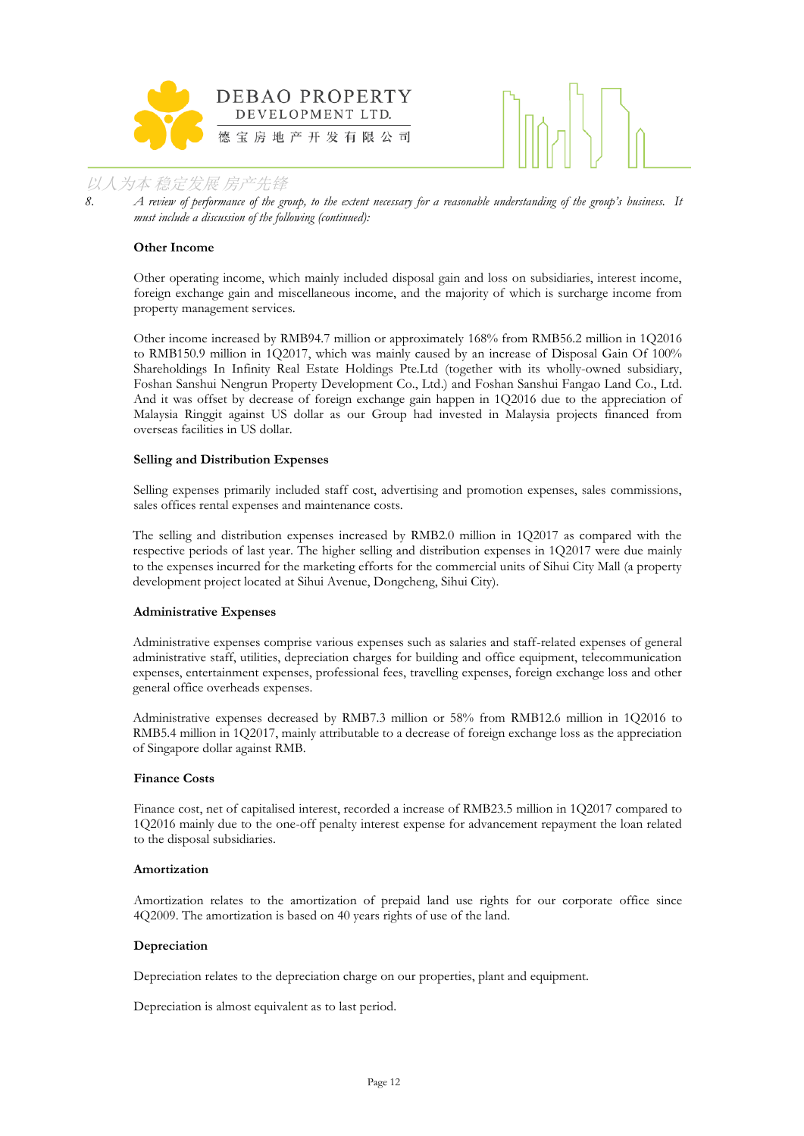



8. *A review of performance of the group, to the extent necessary for a reasonable understanding of the group's business. It must include a discussion of the following (continued):*

#### **Other Income**

Other operating income, which mainly included disposal gain and loss on subsidiaries, interest income, foreign exchange gain and miscellaneous income, and the majority of which is surcharge income from property management services.

Other income increased by RMB94.7 million or approximately 168% from RMB56.2 million in 1Q2016 to RMB150.9 million in 1Q2017, which was mainly caused by an increase of Disposal Gain Of 100% Shareholdings In Infinity Real Estate Holdings Pte.Ltd (together with its wholly-owned subsidiary, Foshan Sanshui Nengrun Property Development Co., Ltd.) and Foshan Sanshui Fangao Land Co., Ltd. And it was offset by decrease of foreign exchange gain happen in 1Q2016 due to the appreciation of Malaysia Ringgit against US dollar as our Group had invested in Malaysia projects financed from overseas facilities in US dollar.

#### **Selling and Distribution Expenses**

Selling expenses primarily included staff cost, advertising and promotion expenses, sales commissions, sales offices rental expenses and maintenance costs.

The selling and distribution expenses increased by RMB2.0 million in 1Q2017 as compared with the respective periods of last year. The higher selling and distribution expenses in 1Q2017 were due mainly to the expenses incurred for the marketing efforts for the commercial units of Sihui City Mall (a property development project located at Sihui Avenue, Dongcheng, Sihui City).

#### **Administrative Expenses**

Administrative expenses comprise various expenses such as salaries and staff-related expenses of general administrative staff, utilities, depreciation charges for building and office equipment, telecommunication expenses, entertainment expenses, professional fees, travelling expenses, foreign exchange loss and other general office overheads expenses.

Administrative expenses decreased by RMB7.3 million or 58% from RMB12.6 million in 1Q2016 to RMB5.4 million in 1Q2017, mainly attributable to a decrease of foreign exchange loss as the appreciation of Singapore dollar against RMB.

#### **Finance Costs**

Finance cost, net of capitalised interest, recorded a increase of RMB23.5 million in 1Q2017 compared to 1Q2016 mainly due to the one-off penalty interest expense for advancement repayment the loan related to the disposal subsidiaries.

#### **Amortization**

Amortization relates to the amortization of prepaid land use rights for our corporate office since 4Q2009. The amortization is based on 40 years rights of use of the land.

#### **Depreciation**

Depreciation relates to the depreciation charge on our properties, plant and equipment.

Depreciation is almost equivalent as to last period.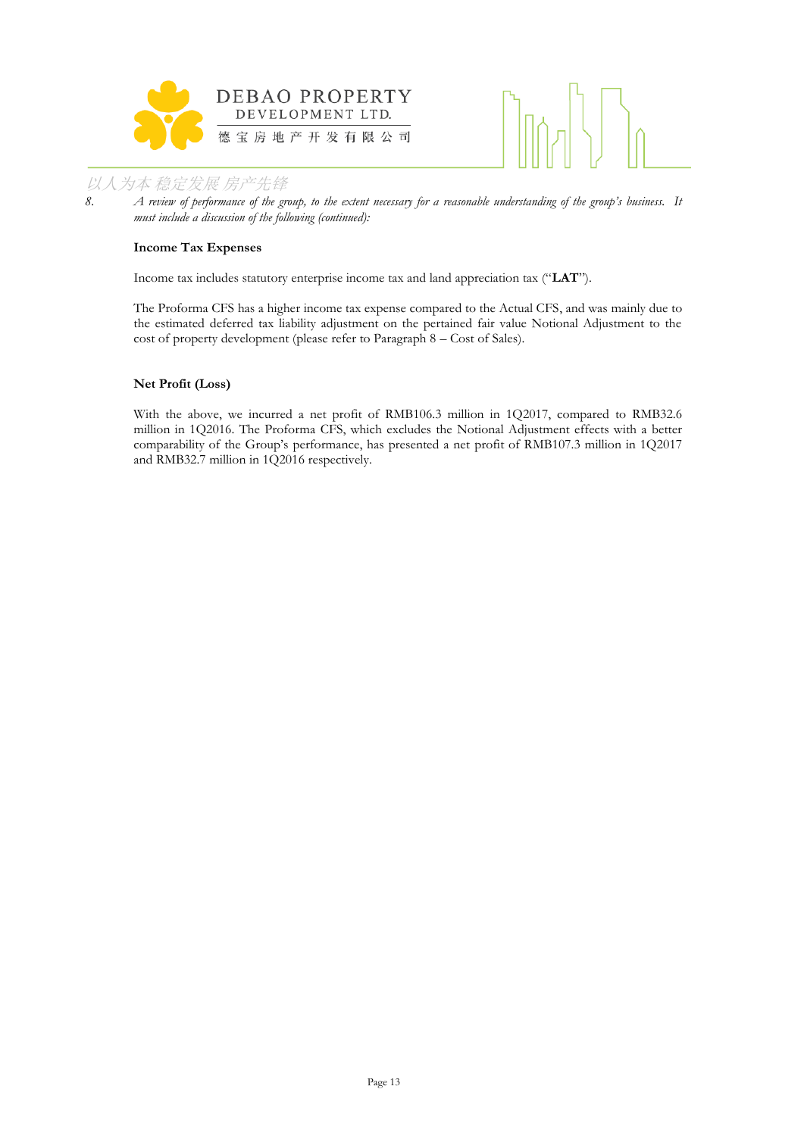



*8. A review of performance of the group, to the extent necessary for a reasonable understanding of the group's business. It must include a discussion of the following (continued):*

## **Income Tax Expenses**

Income tax includes statutory enterprise income tax and land appreciation tax ("**LAT**").

The Proforma CFS has a higher income tax expense compared to the Actual CFS, and was mainly due to the estimated deferred tax liability adjustment on the pertained fair value Notional Adjustment to the cost of property development (please refer to Paragraph 8 – Cost of Sales).

## **Net Profit (Loss)**

With the above, we incurred a net profit of RMB106.3 million in 1Q2017, compared to RMB32.6 million in 1Q2016. The Proforma CFS, which excludes the Notional Adjustment effects with a better comparability of the Group's performance, has presented a net profit of RMB107.3 million in 1Q2017 and RMB32.7 million in 1Q2016 respectively.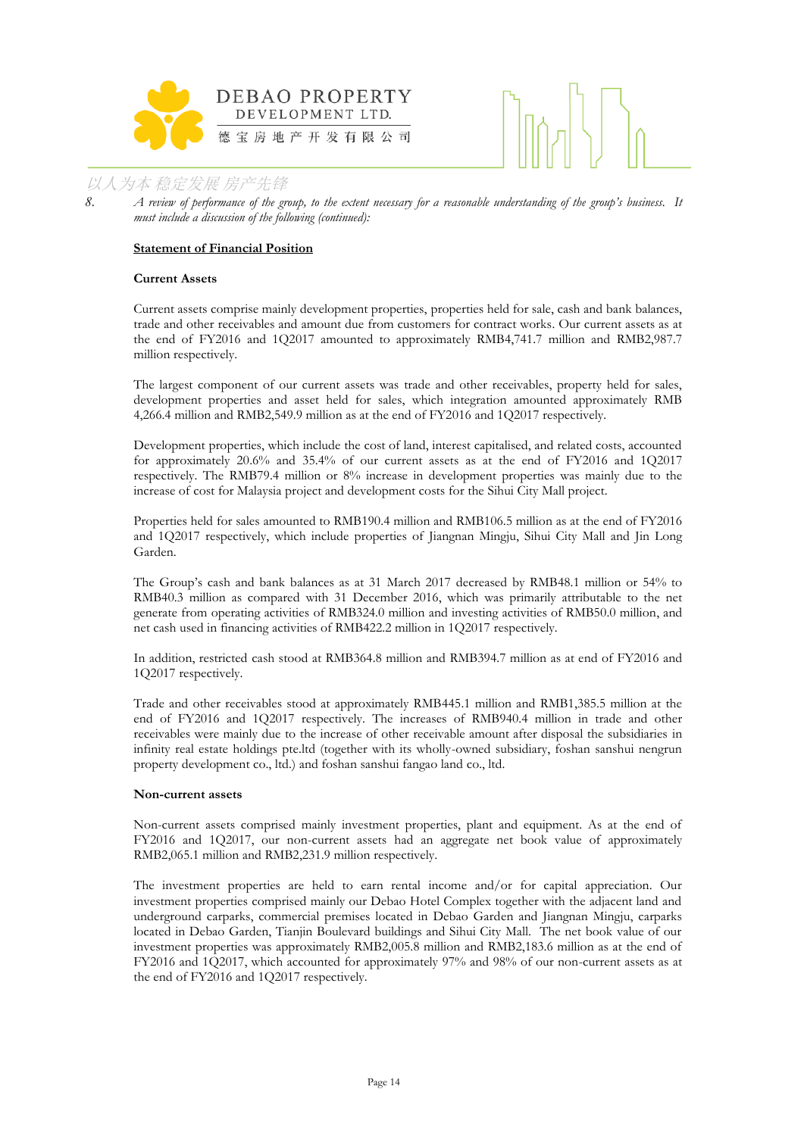



*8. A review of performance of the group, to the extent necessary for a reasonable understanding of the group's business. It must include a discussion of the following (continued):*

#### **Statement of Financial Position**

#### **Current Assets**

Current assets comprise mainly development properties, properties held for sale, cash and bank balances, trade and other receivables and amount due from customers for contract works. Our current assets as at the end of FY2016 and 1Q2017 amounted to approximately RMB4,741.7 million and RMB2,987.7 million respectively.

The largest component of our current assets was trade and other receivables, property held for sales, development properties and asset held for sales, which integration amounted approximately RMB 4,266.4 million and RMB2,549.9 million as at the end of FY2016 and 1Q2017 respectively.

Development properties, which include the cost of land, interest capitalised, and related costs, accounted for approximately 20.6% and 35.4% of our current assets as at the end of FY2016 and 1Q2017 respectively. The RMB79.4 million or 8% increase in development properties was mainly due to the increase of cost for Malaysia project and development costs for the Sihui City Mall project.

Properties held for sales amounted to RMB190.4 million and RMB106.5 million as at the end of FY2016 and 1Q2017 respectively, which include properties of Jiangnan Mingju, Sihui City Mall and Jin Long Garden.

The Group's cash and bank balances as at 31 March 2017 decreased by RMB48.1 million or 54% to RMB40.3 million as compared with 31 December 2016, which was primarily attributable to the net generate from operating activities of RMB324.0 million and investing activities of RMB50.0 million, and net cash used in financing activities of RMB422.2 million in 1Q2017 respectively.

In addition, restricted cash stood at RMB364.8 million and RMB394.7 million as at end of FY2016 and 1Q2017 respectively.

Trade and other receivables stood at approximately RMB445.1 million and RMB1,385.5 million at the end of FY2016 and 1Q2017 respectively. The increases of RMB940.4 million in trade and other receivables were mainly due to the increase of other receivable amount after disposal the subsidiaries in infinity real estate holdings pte.ltd (together with its wholly-owned subsidiary, foshan sanshui nengrun property development co., ltd.) and foshan sanshui fangao land co., ltd.

#### **Non-current assets**

Non-current assets comprised mainly investment properties, plant and equipment. As at the end of FY2016 and 1Q2017, our non-current assets had an aggregate net book value of approximately RMB2,065.1 million and RMB2,231.9 million respectively.

The investment properties are held to earn rental income and/or for capital appreciation. Our investment properties comprised mainly our Debao Hotel Complex together with the adjacent land and underground carparks, commercial premises located in Debao Garden and Jiangnan Mingju, carparks located in Debao Garden, Tianjin Boulevard buildings and Sihui City Mall. The net book value of our investment properties was approximately RMB2,005.8 million and RMB2,183.6 million as at the end of FY2016 and 1Q2017, which accounted for approximately 97% and 98% of our non-current assets as at the end of FY2016 and 1Q2017 respectively.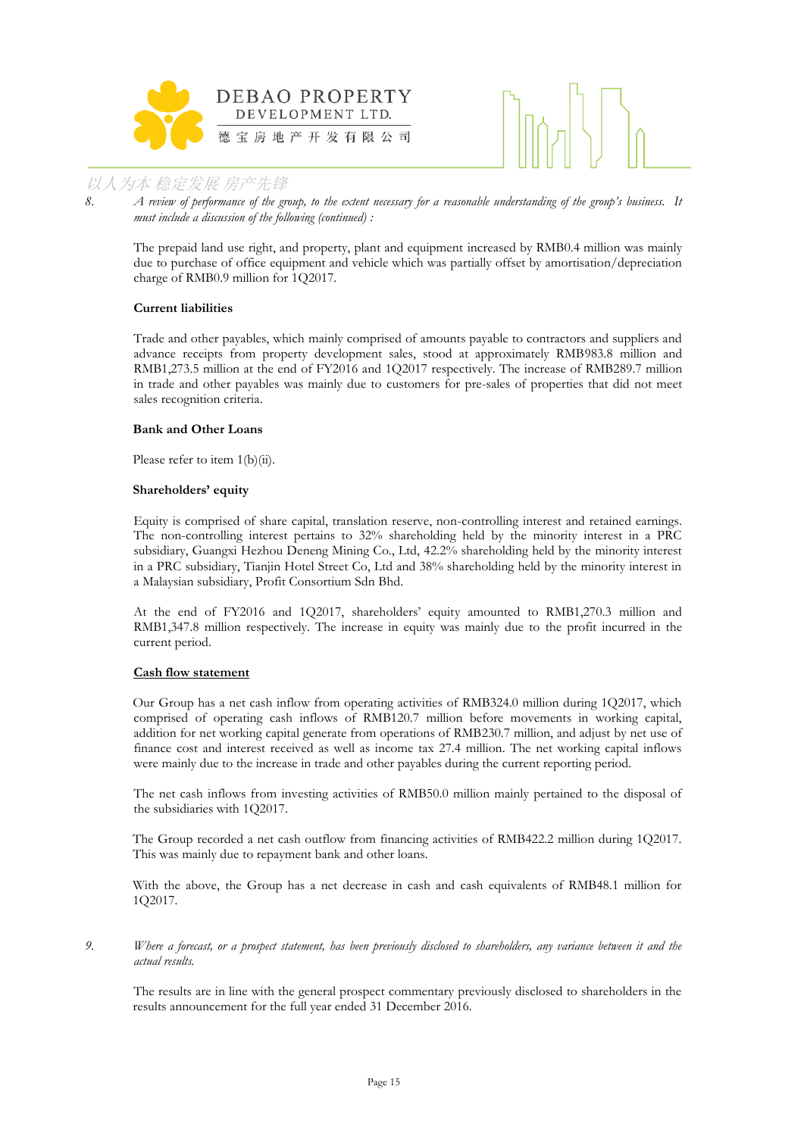



*8. A review of performance of the group, to the extent necessary for a reasonable understanding of the group's business. It must include a discussion of the following (continued) :*

The prepaid land use right, and property, plant and equipment increased by RMB0.4 million was mainly due to purchase of office equipment and vehicle which was partially offset by amortisation/depreciation charge of RMB0.9 million for 1Q2017.

## **Current liabilities**

Trade and other payables, which mainly comprised of amounts payable to contractors and suppliers and advance receipts from property development sales, stood at approximately RMB983.8 million and RMB1,273.5 million at the end of FY2016 and 1Q2017 respectively. The increase of RMB289.7 million in trade and other payables was mainly due to customers for pre-sales of properties that did not meet sales recognition criteria.

## **Bank and Other Loans**

Please refer to item 1(b)(ii).

#### **Shareholders' equity**

Equity is comprised of share capital, translation reserve, non-controlling interest and retained earnings. The non-controlling interest pertains to 32% shareholding held by the minority interest in a PRC subsidiary, Guangxi Hezhou Deneng Mining Co., Ltd, 42.2% shareholding held by the minority interest in a PRC subsidiary, Tianjin Hotel Street Co, Ltd and 38% shareholding held by the minority interest in a Malaysian subsidiary, Profit Consortium Sdn Bhd.

At the end of FY2016 and 1Q2017, shareholders' equity amounted to RMB1,270.3 million and RMB1,347.8 million respectively. The increase in equity was mainly due to the profit incurred in the current period.

## **Cash flow statement**

Our Group has a net cash inflow from operating activities of RMB324.0 million during 1Q2017, which comprised of operating cash inflows of RMB120.7 million before movements in working capital, addition for net working capital generate from operations of RMB230.7 million, and adjust by net use of finance cost and interest received as well as income tax 27.4 million. The net working capital inflows were mainly due to the increase in trade and other payables during the current reporting period.

The net cash inflows from investing activities of RMB50.0 million mainly pertained to the disposal of the subsidiaries with 1Q2017.

The Group recorded a net cash outflow from financing activities of RMB422.2 million during 1Q2017. This was mainly due to repayment bank and other loans.

With the above, the Group has a net decrease in cash and cash equivalents of RMB48.1 million for 1Q2017.

*9. Where a forecast, or a prospect statement, has been previously disclosed to shareholders, any variance between it and the actual results.*

The results are in line with the general prospect commentary previously disclosed to shareholders in the results announcement for the full year ended 31 December 2016.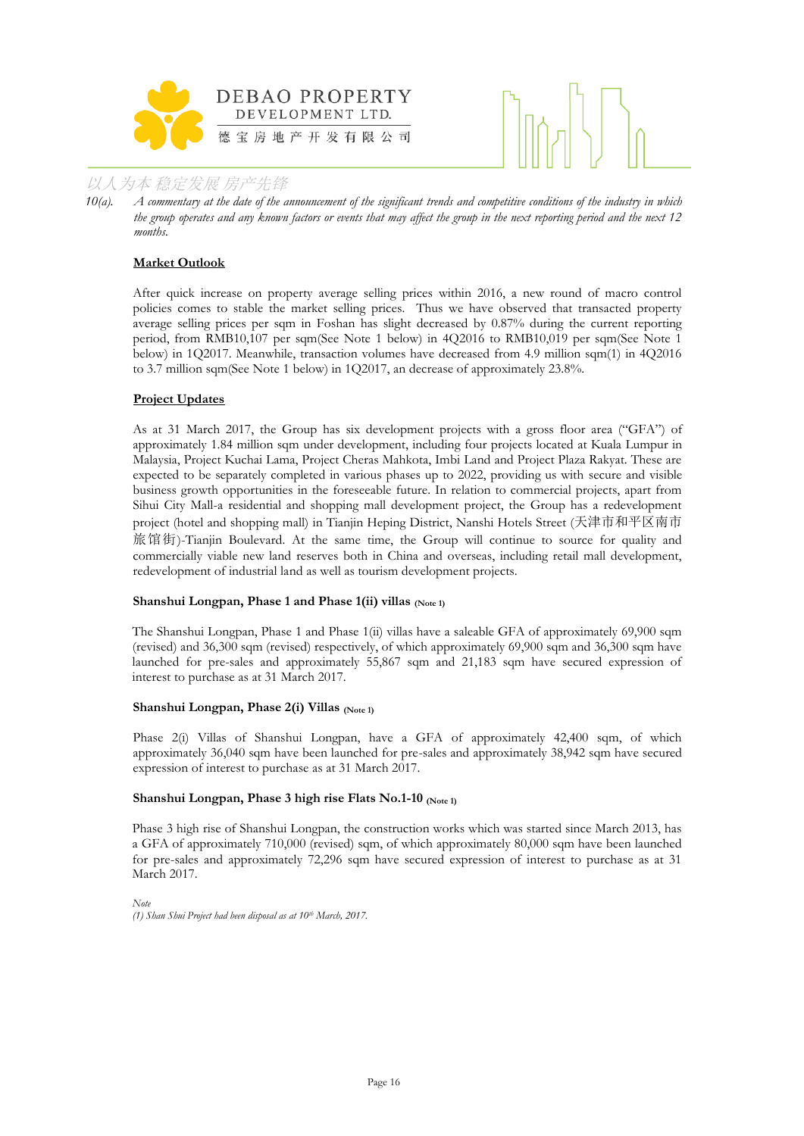



*10(a). A commentary at the date of the announcement of the significant trends and competitive conditions of the industry in which the group operates and any known factors or events that may affect the group in the next reporting period and the next 12 months.*

## **Market Outlook**

After quick increase on property average selling prices within 2016, a new round of macro control policies comes to stable the market selling prices. Thus we have observed that transacted property average selling prices per sqm in Foshan has slight decreased by 0.87% during the current reporting period, from RMB10,107 per sqm(See Note 1 below) in 4Q2016 to RMB10,019 per sqm(See Note 1 below) in 1Q2017. Meanwhile, transaction volumes have decreased from 4.9 million sqm(1) in 4Q2016 to 3.7 million sqm(See Note 1 below) in 1Q2017, an decrease of approximately 23.8%.

## **Project Updates**

As at 31 March 2017, the Group has six development projects with a gross floor area ("GFA") of approximately 1.84 million sqm under development, including four projects located at Kuala Lumpur in Malaysia, Project Kuchai Lama, Project Cheras Mahkota, Imbi Land and Project Plaza Rakyat. These are expected to be separately completed in various phases up to 2022, providing us with secure and visible business growth opportunities in the foreseeable future. In relation to commercial projects, apart from Sihui City Mall-a residential and shopping mall development project, the Group has a redevelopment project (hotel and shopping mall) in Tianjin Heping District, Nanshi Hotels Street (天津市和平区南市 旅馆街)-Tianjin Boulevard. At the same time, the Group will continue to source for quality and commercially viable new land reserves both in China and overseas, including retail mall development, redevelopment of industrial land as well as tourism development projects.

#### **Shanshui Longpan, Phase 1 and Phase 1(ii) villas (Note 1)**

The Shanshui Longpan, Phase 1 and Phase 1(ii) villas have a saleable GFA of approximately 69,900 sqm (revised) and 36,300 sqm (revised) respectively, of which approximately 69,900 sqm and 36,300 sqm have launched for pre-sales and approximately 55,867 sqm and 21,183 sqm have secured expression of interest to purchase as at 31 March 2017.

#### **Shanshui Longpan, Phase 2(i) Villas (Note 1)**

Phase 2(i) Villas of Shanshui Longpan, have a GFA of approximately 42,400 sqm, of which approximately 36,040 sqm have been launched for pre-sales and approximately 38,942 sqm have secured expression of interest to purchase as at 31 March 2017.

#### Shanshui Longpan, Phase 3 high rise Flats No.1-10 (Note 1)

Phase 3 high rise of Shanshui Longpan, the construction works which was started since March 2013, has a GFA of approximately 710,000 (revised) sqm, of which approximately 80,000 sqm have been launched for pre-sales and approximately 72,296 sqm have secured expression of interest to purchase as at 31 March 2017.

*Note (1) Shan Shui Project had been disposal as at 10th March, 2017.*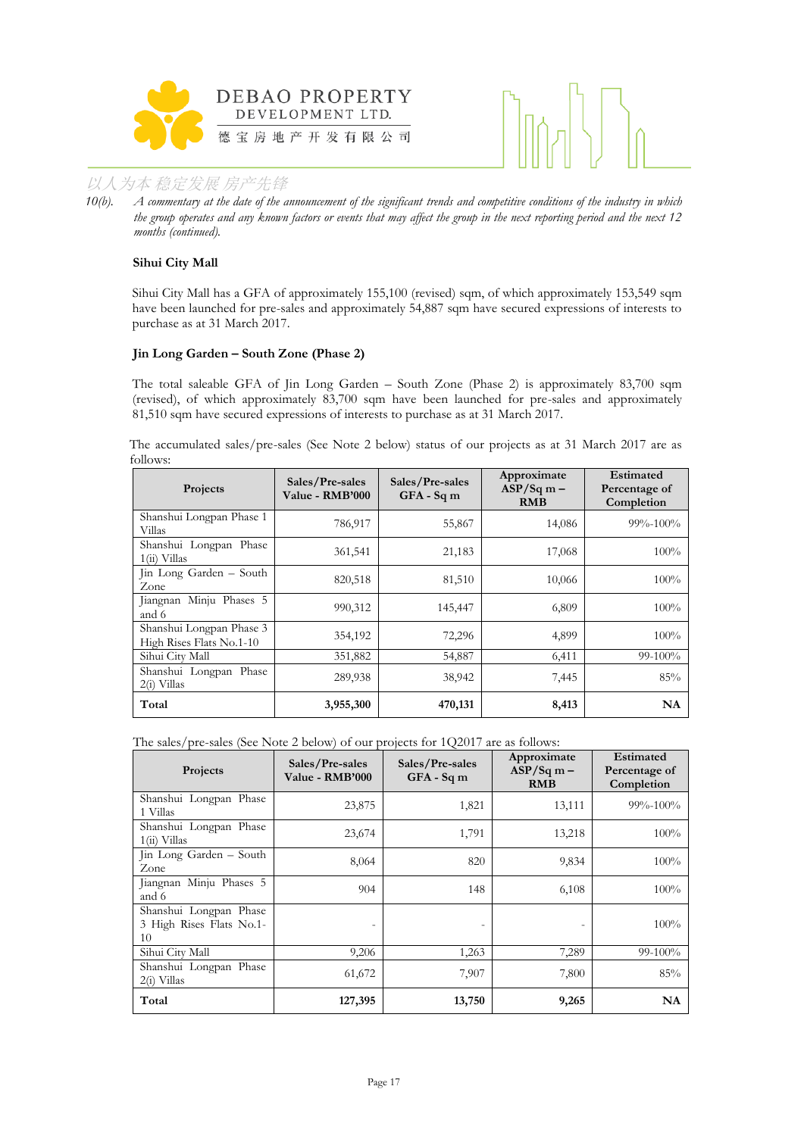



*10(b). A commentary at the date of the announcement of the significant trends and competitive conditions of the industry in which the group operates and any known factors or events that may affect the group in the next reporting period and the next 12 months (continued).*

## **Sihui City Mall**

Sihui City Mall has a GFA of approximately 155,100 (revised) sqm, of which approximately 153,549 sqm have been launched for pre-sales and approximately 54,887 sqm have secured expressions of interests to purchase as at 31 March 2017.

#### **Jin Long Garden – South Zone (Phase 2)**

The total saleable GFA of Jin Long Garden – South Zone (Phase 2) is approximately 83,700 sqm (revised), of which approximately 83,700 sqm have been launched for pre-sales and approximately 81,510 sqm have secured expressions of interests to purchase as at 31 March 2017.

The accumulated sales/pre-sales (See Note 2 below) status of our projects as at 31 March 2017 are as follows:

| Projects                                             | Sales/Pre-sales<br>Value - RMB'000 | Sales/Pre-sales<br>$GFA - Sqm$ | Approximate<br>$ASP/Sq m -$<br><b>RMB</b> | Estimated<br>Percentage of<br>Completion |
|------------------------------------------------------|------------------------------------|--------------------------------|-------------------------------------------|------------------------------------------|
| Shanshui Longpan Phase 1<br>Villas                   | 786,917                            | 55,867                         | 14,086                                    | $99\% - 100\%$                           |
| Shanshui Longpan Phase<br>$1(ii)$ Villas             | 361,541                            | 21,183                         | 17,068                                    | $100\%$                                  |
| Jin Long Garden - South<br>Zone                      | 820,518                            | 81,510                         | 10,066                                    | 100%                                     |
| Jiangnan Minju Phases 5<br>and 6                     | 990,312                            | 145,447                        | 6,809                                     | 100%                                     |
| Shanshui Longpan Phase 3<br>High Rises Flats No.1-10 | 354,192                            | 72,296                         | 4,899                                     | 100%                                     |
| Sihui City Mall                                      | 351,882                            | 54,887                         | 6,411                                     | $99-100\%$                               |
| Shanshui Longpan Phase<br>$2(i)$ Villas              | 289,938                            | 38,942                         | 7,445                                     | 85%                                      |
| Total                                                | 3,955,300                          | 470,131                        | 8,413                                     | NA                                       |

The sales/pre-sales (See Note 2 below) of our projects for 1Q2017 are as follows:

| Projects                                                 | Sales/Pre-sales<br>Value - RMB'000 | Sales/Pre-sales<br>$GFA - Sq$ m | Approximate<br>$ASP/Sq$ m –<br><b>RMB</b> | Estimated<br>Percentage of<br>Completion |
|----------------------------------------------------------|------------------------------------|---------------------------------|-------------------------------------------|------------------------------------------|
| Shanshui Longpan Phase<br>1 Villas                       | 23,875                             | 1,821                           | 13,111                                    | $99\% - 100\%$                           |
| Shanshui Longpan Phase<br>$1(ii)$ Villas                 | 23,674                             | 1,791                           | 13,218                                    | 100%                                     |
| Jin Long Garden - South<br>Zone                          | 8,064                              | 820                             | 9,834                                     | 100%                                     |
| Jiangnan Minju Phases 5<br>and 6                         | 904                                | 148                             | 6,108                                     | 100%                                     |
| Shanshui Longpan Phase<br>3 High Rises Flats No.1-<br>10 | $\overline{\phantom{0}}$           |                                 |                                           | 100%                                     |
| Sihui City Mall                                          | 9,206                              | 1,263                           | 7,289                                     | 99-100%                                  |
| Shanshui Longpan Phase<br>2(i) Villas                    | 61,672                             | 7,907                           | 7,800                                     | 85%                                      |
| Total                                                    | 127,395                            | 13,750                          | 9,265                                     | NA                                       |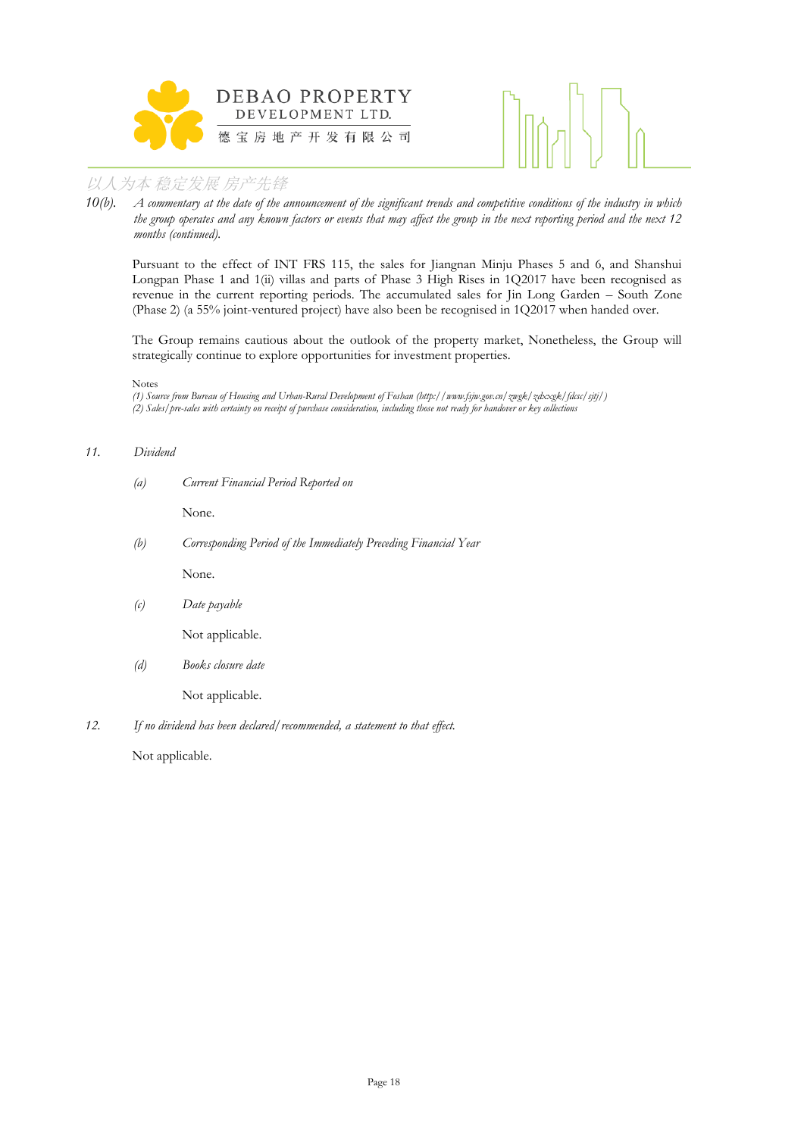



*10(b). A commentary at the date of the announcement of the significant trends and competitive conditions of the industry in which the group operates and any known factors or events that may affect the group in the next reporting period and the next 12 months (continued).*

Pursuant to the effect of INT FRS 115, the sales for Jiangnan Minju Phases 5 and 6, and Shanshui Longpan Phase 1 and 1(ii) villas and parts of Phase 3 High Rises in 1Q2017 have been recognised as revenue in the current reporting periods. The accumulated sales for Jin Long Garden – South Zone (Phase 2) (a 55% joint-ventured project) have also been be recognised in 1Q2017 when handed over.

The Group remains cautious about the outlook of the property market, Nonetheless, the Group will strategically continue to explore opportunities for investment properties.

#### Notes

*(1) Source from Bureau of Housing and Urban-Rural Development of Foshan (http://www.fsjw.gov.cn/zwgk/zdxxgk/fdcsc/sjtj/) (2) Sales/pre-sales with certainty on receipt of purchase consideration, including those not ready for handover or key collections*

#### *11. Dividend*

*(a) Current Financial Period Reported on*

None.

*(b) Corresponding Period of the Immediately Preceding Financial Year*

None.

*(c) Date payable*

Not applicable.

*(d) Books closure date*

Not applicable.

*12. If no dividend has been declared/recommended, a statement to that effect.*

Not applicable.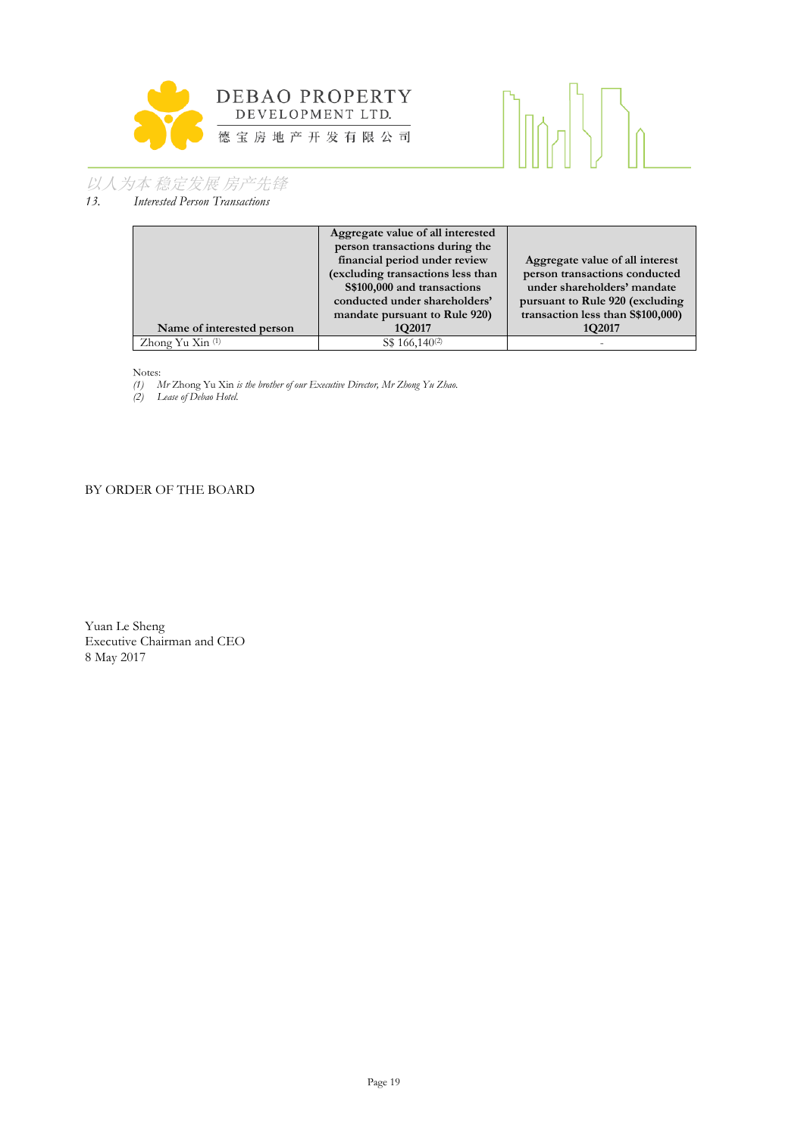



*13. Interested Person Transactions*

|                           | Aggregate value of all interested |                                    |
|---------------------------|-----------------------------------|------------------------------------|
|                           | person transactions during the    |                                    |
|                           | financial period under review     | Aggregate value of all interest    |
|                           | (excluding transactions less than | person transactions conducted      |
|                           | S\$100,000 and transactions       | under shareholders' mandate        |
|                           | conducted under shareholders'     | pursuant to Rule 920 (excluding    |
|                           | mandate pursuant to Rule 920)     | transaction less than \$\$100,000) |
| Name of interested person | 1Q2017                            | 1Q2017                             |
| Zhong Yu Xin (1)          | S\$ 166,140 <sup>(2)</sup>        |                                    |

Notes:

*(1) Mr* Zhong Yu Xin *is the brother of our Executive Director, Mr Zhong Yu Zhao.*

*(2) Lease of Debao Hotel.*

## BY ORDER OF THE BOARD

Yuan Le Sheng Executive Chairman and CEO 8 May 2017